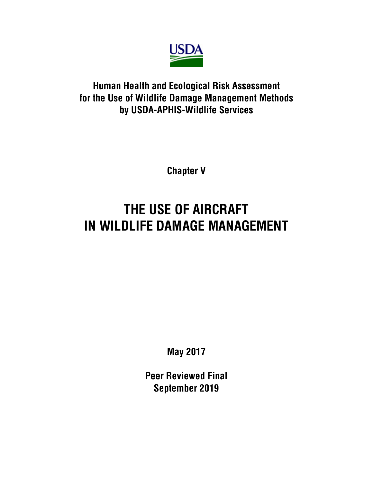

# **Human Health and Ecological Risk Assessment for the Use of Wildlife Damage Management Methods by USDA-APHIS-Wildlife Services**

**Chapter V**

# **THE USE OF AIRCRAFT IN WILDLIFE DAMAGE MANAGEMENT**

**May 2017**

**Peer Reviewed Final September 2019**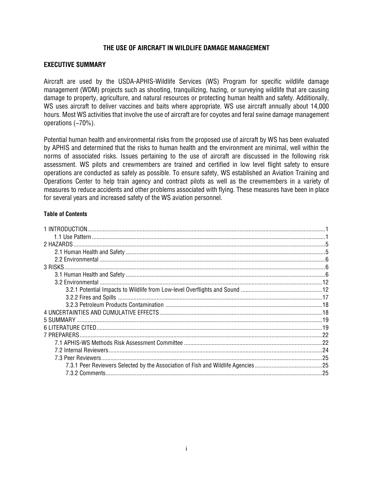# **THE USE OF AIRCRAFT IN WILDLIFE DAMAGE MANAGEMENT**

# **EXECUTIVE SUMMARY**

Aircraft are used by the USDA-APHIS-Wildlife Services (WS) Program for specific wildlife damage management (WDM) projects such as shooting, tranquilizing, hazing, or surveying wildlife that are causing damage to property, agriculture, and natural resources or protecting human health and safety. Additionally, WS uses aircraft to deliver vaccines and baits where appropriate. WS use aircraft annually about 14,000 hours. Most WS activities that involve the use of aircraft are for coyotes and feral swine damage management operations (~70%).

Potential human health and environmental risks from the proposed use of aircraft by WS has been evaluated by APHIS and determined that the risks to human health and the environment are minimal, well within the norms of associated risks. Issues pertaining to the use of aircraft are discussed in the following risk assessment. WS pilots and crewmembers are trained and certified in low level flight safety to ensure operations are conducted as safely as possible. To ensure safety, WS established an Aviation Training and Operations Center to help train agency and contract pilots as well as the crewmembers in a variety of measures to reduce accidents and other problems associated with flying. These measures have been in place for several years and increased safety of the WS aviation personnel.

### **Table of Contents**

| 2 HAZARDS |    |
|-----------|----|
|           |    |
|           |    |
|           |    |
|           |    |
|           |    |
|           |    |
|           |    |
|           |    |
|           |    |
|           |    |
|           |    |
|           |    |
|           |    |
|           |    |
|           |    |
|           |    |
|           | 25 |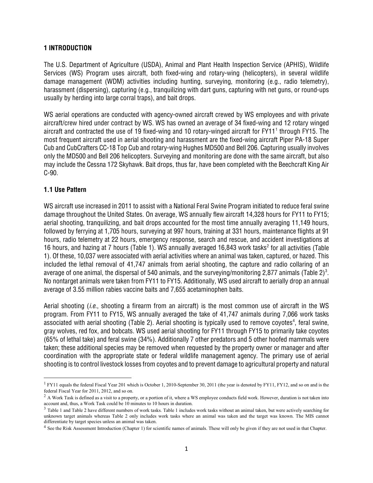# **1 INTRODUCTION**

The U.S. Department of Agriculture (USDA), Animal and Plant Health Inspection Service (APHIS), Wildlife Services (WS) Program uses aircraft, both fixed-wing and rotary-wing (helicopters), in several wildlife damage management (WDM) activities including hunting, surveying, monitoring (e.g., radio telemetry), harassment (dispersing), capturing (e.g., tranquilizing with dart guns, capturing with net guns, or round-ups usually by herding into large corral traps), and bait drops.

WS aerial operations are conducted with agency-owned aircraft crewed by WS employees and with private aircraft/crew hired under contract by WS. WS has owned an average of 34 fixed-wing and 12 rotary winged aircraft and contracted the use of [1](#page-2-0)9 fixed-wing and 10 rotary-winged aircraft for FY11<sup>1</sup> through FY15. The most frequent aircraft used in aerial shooting and harassment are the fixed-wing aircraft Piper PA-18 Super Cub and CubCrafters CC-18 Top Cub and rotary-wing Hughes MD500 and Bell 206. Capturing usually involves only the MD500 and Bell 206 helicopters. Surveying and monitoring are done with the same aircraft, but also may include the Cessna 172 Skyhawk. Bait drops, thus far, have been completed with the Beechcraft King Air C-90.

# **1.1 Use Pattern**

l

WS aircraft use increased in 2011 to assist with a National Feral Swine Program initiated to reduce feral swine damage throughout the United States. On average, WS annually flew aircraft 14,328 hours for FY11 to FY15; aerial shooting, tranquilizing, and bait drops accounted for the most time annually averaging 11,149 hours, followed by ferrying at 1,705 hours, surveying at 997 hours, training at 331 hours, maintenance flights at 91 hours, radio telemetry at 22 hours, emergency response, search and rescue, and accident investigations at 16 hours, and hazing at 7 hours (Table 1). WS annually averaged 16,843 work tasks<sup>[2](#page-2-1)</sup> for all activities (Table 1). Of these, 10,037 were associated with aerial activities where an animal was taken, captured, or hazed. This included the lethal removal of 41,747 animals from aerial shooting, the capture and radio collaring of an average of one animal, the dispersal of 540 animals, and the surveying/monitoring 2,877 animals (Table 2) $^{\rm 3}$  $^{\rm 3}$  $^{\rm 3}$ . No nontarget animals were taken from FY11 to FY15. Additionally, WS used aircraft to aerially drop an annual average of 3.55 million rabies vaccine baits and 7,655 acetaminophen baits.

Aerial shooting (*i.e*., shooting a firearm from an aircraft) is the most common use of aircraft in the WS program. From FY11 to FY15, WS annually averaged the take of 41,747 animals during 7,066 work tasks associated with aerial shooting (Table 2). Aerial shooting is typically used to remove coyotes $^{\rm 4}$  $^{\rm 4}$  $^{\rm 4}$ , feral swine, gray wolves, red fox, and bobcats. WS used aerial shooting for FY11 through FY15 to primarily take coyotes (65% of lethal take) and feral swine (34%). Additionally 7 other predators and 5 other hoofed mammals were taken; these additional species may be removed when requested by the property owner or manager and after coordination with the appropriate state or federal wildlife management agency. The primary use of aerial shooting is to control livestock losses from coyotes and to prevent damage to agricultural property and natural

<span id="page-2-0"></span> $1$  FY11 equals the federal Fiscal Year 201 which is October 1, 2010-September 30, 2011 (the year is denoted by FY11, FY12, and so on and is the federal Fiscal Year for 2011, 2012, and so on.

<span id="page-2-1"></span> $2$  A Work Task is defined as a visit to a property, or a portion of it, where a WS employee conducts field work. However, duration is not taken into account and, thus, a Work Task could be 10 minutes to 10 hours in duration.

<span id="page-2-2"></span><sup>&</sup>lt;sup>3</sup> Table 1 and Table 2 have different numbers of work tasks. Table 1 includes work tasks without an animal taken, but were actively searching for unknown target animals whereas Table 2 only includes work tasks where an animal was taken and the target was known. The MIS cannot differentiate by target species unless an animal was taken.

<span id="page-2-3"></span><sup>&</sup>lt;sup>4</sup> See the Risk Assessment Introduction (Chapter 1) for scientific names of animals. These will only be given if they are not used in that Chapter.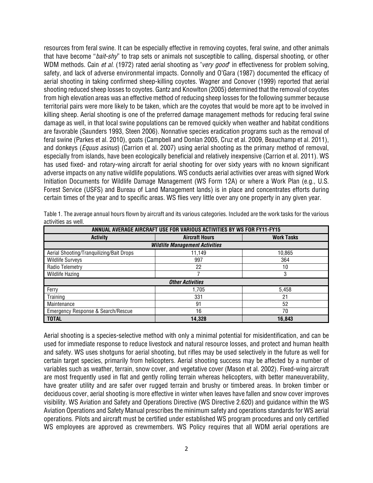resources from feral swine. It can be especially effective in removing coyotes, feral swine, and other animals that have become "*bait-shy*" to trap sets or animals not susceptible to calling, dispersal shooting, or other WDM methods. Cain *et al*. (1972) rated aerial shooting as "*very good*" in effectiveness for problem solving, safety, and lack of adverse environmental impacts. Connolly and O'Gara (1987) documented the efficacy of aerial shooting in taking confirmed sheep-killing coyotes. Wagner and Conover (1999) reported that aerial shooting reduced sheep losses to coyotes. Gantz and Knowlton (2005) determined that the removal of coyotes from high elevation areas was an effective method of reducing sheep losses for the following summer because territorial pairs were more likely to be taken, which are the coyotes that would be more apt to be involved in killing sheep. Aerial shooting is one of the preferred damage management methods for reducing feral swine damage as well, in that local swine populations can be removed quickly when weather and habitat conditions are favorable (Saunders 1993, Steen 2006). Nonnative species eradication programs such as the removal of feral swine (Parkes et al. 2010), goats (Campbell and Donlan 2005, Cruz et al. 2009, Beauchamp et al. 2011), and donkeys (*Equus asinus*) (Carrion et al. 2007) using aerial shooting as the primary method of removal, especially from islands, have been ecologically beneficial and relatively inexpensive (Carrion et al. 2011). WS has used fixed- and rotary-wing aircraft for aerial shooting for over sixty years with no known significant adverse impacts on any native wildlife populations. WS conducts aerial activities over areas with signed Work Initiation Documents for Wildlife Damage Management (WS Form 12A) or where a Work Plan (e.g., U.S. Forest Service (USFS) and Bureau of Land Management lands) is in place and concentrates efforts during certain times of the year and to specific areas. WS flies very little over any one property in any given year.

| ANNUAL AVERAGE AIRCRAFT USE FOR VARIOUS ACTIVITIES BY WS FOR FY11-FY15 |                       |                   |  |  |  |  |  |
|------------------------------------------------------------------------|-----------------------|-------------------|--|--|--|--|--|
| <b>Activity</b>                                                        | <b>Aircraft Hours</b> | <b>Work Tasks</b> |  |  |  |  |  |
| <b>Wildlife Management Activities</b>                                  |                       |                   |  |  |  |  |  |
| Aerial Shooting/Tranquilizing/Bait Drops                               | 11,149                | 10,865            |  |  |  |  |  |
| <b>Wildlife Surveys</b>                                                | 997                   | 364               |  |  |  |  |  |
| Radio Telemetry                                                        | 22                    | 10                |  |  |  |  |  |
| <b>Wildlife Hazing</b>                                                 |                       | 3                 |  |  |  |  |  |
| <b>Other Activities</b>                                                |                       |                   |  |  |  |  |  |
| Ferry                                                                  | 1,705                 | 5,458             |  |  |  |  |  |
| Training                                                               | 331                   | 21                |  |  |  |  |  |
| Maintenance                                                            | 91                    | 52                |  |  |  |  |  |
| Emergency Response & Search/Rescue                                     | 16                    | 70                |  |  |  |  |  |
| <b>TOTAL</b>                                                           | 14,328                | 16,843            |  |  |  |  |  |

Table 1. The average annual hours flown by aircraft and its various categories. Included are the work tasks for the various activities as well.

Aerial shooting is a species-selective method with only a minimal potential for misidentification, and can be used for immediate response to reduce livestock and natural resource losses, and protect and human health and safety. WS uses shotguns for aerial shooting, but rifles may be used selectively in the future as well for certain target species, primarily from helicopters. Aerial shooting success may be affected by a number of variables such as weather, terrain, snow cover, and vegetative cover (Mason et al. 2002). Fixed-wing aircraft are most frequently used in flat and gently rolling terrain whereas helicopters, with better maneuverability, have greater utility and are safer over rugged terrain and brushy or timbered areas. In broken timber or deciduous cover, aerial shooting is more effective in winter when leaves have fallen and snow cover improves visibility. WS Aviation and Safety and Operations Directive (WS Directive 2.620) and guidance within the WS Aviation Operations and Safety Manual prescribes the minimum safety and operations standards for WS aerial operations. Pilots and aircraft must be certified under established WS program procedures and only certified WS employees are approved as crewmembers. WS Policy requires that all WDM aerial operations are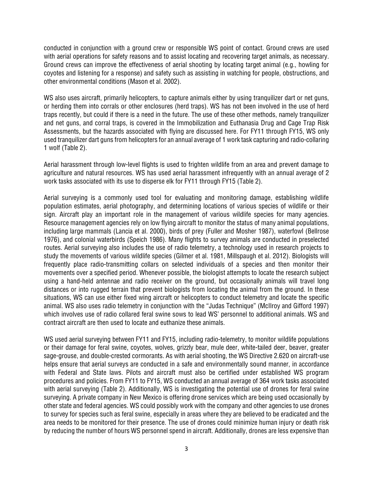conducted in conjunction with a ground crew or responsible WS point of contact. Ground crews are used with aerial operations for safety reasons and to assist locating and recovering target animals, as necessary. Ground crews can improve the effectiveness of aerial shooting by locating target animal (e.g., howling for coyotes and listening for a response) and safety such as assisting in watching for people, obstructions, and other environmental conditions (Mason et al. 2002).

WS also uses aircraft, primarily helicopters, to capture animals either by using tranquilizer dart or net guns, or herding them into corrals or other enclosures (herd traps). WS has not been involved in the use of herd traps recently, but could if there is a need in the future. The use of these other methods, namely tranquilizer and net guns, and corral traps, is covered in the Immobilization and Euthanasia Drug and Cage Trap Risk Assessments, but the hazards associated with flying are discussed here. For FY11 through FY15, WS only used tranquilizer dart guns from helicopters for an annual average of 1 work task capturing and radio-collaring 1 wolf (Table 2).

Aerial harassment through low-level flights is used to frighten wildlife from an area and prevent damage to agriculture and natural resources. WS has used aerial harassment infrequently with an annual average of 2 work tasks associated with its use to disperse elk for FY11 through FY15 (Table 2).

Aerial surveying is a commonly used tool for evaluating and monitoring damage, establishing wildlife population estimates, aerial photography, and determining locations of various species of wildlife or their sign. Aircraft play an important role in the management of various wildlife species for many agencies. Resource management agencies rely on low flying aircraft to monitor the status of many animal populations, including large mammals (Lancia et al. 2000), birds of prey (Fuller and Mosher 1987), waterfowl (Bellrose 1976), and colonial waterbirds (Speich 1986). Many flights to survey animals are conducted in preselected routes. Aerial surveying also includes the use of radio telemetry, a technology used in research projects to study the movements of various wildlife species (Gilmer et al. 1981, Millspaugh et al. 2012). Biologists will frequently place radio-transmitting collars on selected individuals of a species and then monitor their movements over a specified period. Whenever possible, the biologist attempts to locate the research subject using a hand-held antennae and radio receiver on the ground, but occasionally animals will travel long distances or into rugged terrain that prevent biologists from locating the animal from the ground. In these situations, WS can use either fixed wing aircraft or helicopters to conduct telemetry and locate the specific animal. WS also uses radio telemetry in conjunction with the "Judas Technique" (McIlroy and Gifford 1997) which involves use of radio collared feral swine sows to lead WS' personnel to additional animals. WS and contract aircraft are then used to locate and euthanize these animals.

WS used aerial surveying between FY11 and FY15, including radio-telemetry, to monitor wildlife populations or their damage for feral swine, coyotes, wolves, grizzly bear, mule deer, white-tailed deer, beaver, greater sage-grouse, and double-crested cormorants. As with aerial shooting, the WS Directive 2.620 on aircraft-use helps ensure that aerial surveys are conducted in a safe and environmentally sound manner, in accordance with Federal and State laws. Pilots and aircraft must also be certified under established WS program procedures and policies. From FY11 to FY15, WS conducted an annual average of 364 work tasks associated with aerial surveying (Table 2). Additionally, WS is investigating the potential use of drones for feral swine surveying. A private company in New Mexico is offering drone services which are being used occasionally by other state and federal agencies. WS could possibly work with the company and other agencies to use drones to survey for species such as feral swine, especially in areas where they are believed to be eradicated and the area needs to be monitored for their presence. The use of drones could minimize human injury or death risk by reducing the number of hours WS personnel spend in aircraft. Additionally, drones are less expensive than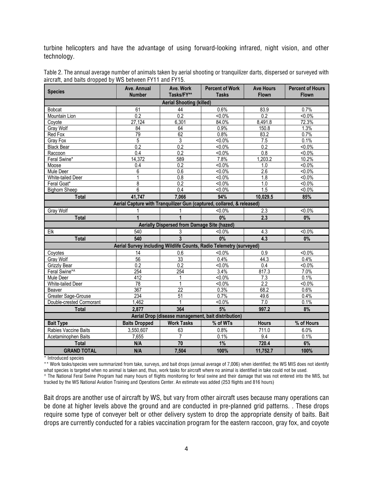turbine helicopters and have the advantage of using forward-looking infrared, night vision, and other technology.

| <b>Species</b>                                                        | Ave. Annual<br><b>Number</b> | Ave. Work<br>Tasks/FY**                     | <b>Percent of Work</b><br><b>Tasks</b>                              | <b>Ave Hours</b><br><b>Flown</b> | <b>Percent of Hours</b><br><b>Flown</b> |  |  |
|-----------------------------------------------------------------------|------------------------------|---------------------------------------------|---------------------------------------------------------------------|----------------------------------|-----------------------------------------|--|--|
| <b>Aerial Shooting (killed)</b>                                       |                              |                                             |                                                                     |                                  |                                         |  |  |
| <b>Bobcat</b>                                                         | 61                           | 44                                          | 0.6%                                                                | 83.9                             | 0.7%                                    |  |  |
| Mountain Lion                                                         | 0.2                          | 0.2                                         | $< 0.0\%$                                                           | $\overline{0.2}$                 | $50.0\%$                                |  |  |
| Coyote                                                                | 27,124                       | 6,301                                       | 84.0%                                                               | 8,491.8                          | 72.3%                                   |  |  |
| Gray Wolf                                                             | 84                           | 64                                          | 0.9%                                                                | 150.8                            | 1.3%                                    |  |  |
| Red Fox                                                               | 79                           | 62                                          | 0.8%                                                                | 83.2                             | 0.7%                                    |  |  |
| Gray Fox                                                              | 5                            | 3                                           | $50.0\%$                                                            | 7.5                              | 0.1%                                    |  |  |
| <b>Black Bear</b>                                                     | 0.2                          | 0.2                                         | $< 0.0\%$                                                           | 0.2                              | $< 0.0\%$                               |  |  |
| Raccoon                                                               | 0.4                          | 0.2                                         | $< 0.0\%$                                                           | 0.8                              | $< 0.0\%$                               |  |  |
| Feral Swine*                                                          | 14,372                       | 589                                         | 7.8%                                                                | 1,203.2                          | 10.2%                                   |  |  |
| Moose                                                                 | 0.4                          | 0.2                                         | $< 0.0\%$                                                           | 1.0                              | $< 0.0\%$                               |  |  |
| Mule Deer                                                             | 6                            | 0.6                                         | $< 0.0\%$                                                           | 2.6                              | $< 0.0\%$                               |  |  |
| White-tailed Deer                                                     | 1                            | 0.8                                         | $50.0\%$                                                            | 1.8                              | $< 0.0\%$                               |  |  |
| Feral Goat*                                                           | 8                            | 0.2                                         | $50.0\%$                                                            | 1.0                              | $50.0\%$                                |  |  |
| <b>Bighorn Sheep</b>                                                  | 6                            | 0.4                                         | $< 0.0\%$                                                           | 1.5                              | $< 0.0\%$                               |  |  |
| <b>Total</b>                                                          | 41,747                       | 7,066                                       | 94%                                                                 | 10,029.5                         | 85%                                     |  |  |
| Aerial Capture with Tranquilizer Gun (captured, collared, & released) |                              |                                             |                                                                     |                                  |                                         |  |  |
| Gray Wolf                                                             |                              |                                             | $< 0.0\%$                                                           | 2.3                              | $< 0.0\%$                               |  |  |
| <b>Total</b>                                                          | $\overline{1}$               | 1                                           | 0%                                                                  | 2.3                              | 0%                                      |  |  |
|                                                                       |                              | Aerially Dispersed from Damage Site (hazed) |                                                                     |                                  |                                         |  |  |
| Elk                                                                   | 540                          | 3                                           | $< 0.0\%$                                                           | 4.3                              | $< 0.0\%$                               |  |  |
| Total                                                                 | 540                          | $\overline{3}$                              | 0%                                                                  | 4.3                              | 0%                                      |  |  |
|                                                                       |                              |                                             | Aerial Survey including Wildlife Counts, Radio Telemetry (surveyed) |                                  |                                         |  |  |
| Coyotes                                                               | 14                           | 0.6                                         | $50.0\%$                                                            | 0.9                              | $< 0.0\%$                               |  |  |
| <b>Gray Wolf</b>                                                      | $\overline{56}$              | 33                                          | 0.4%                                                                | 44.3                             | 0.4%                                    |  |  |
| Grizzly Bear                                                          | $\overline{0.2}$             | $\overline{0.2}$                            | $< 0.0\%$                                                           | 0.4                              | $< 0.0\%$                               |  |  |
| Feral Swine*^                                                         | 254                          | 254                                         | 3.4%                                                                | 817.3                            | 7.0%                                    |  |  |
| Mule Deer                                                             | 412                          | 1                                           | $50.0\%$                                                            | $\overline{7.3}$                 | 0.1%                                    |  |  |
| White-tailed Deer                                                     | 78                           | 1                                           | $< 0.0\%$                                                           | 2.2                              | $< 0.0\%$                               |  |  |
| Beaver                                                                | 367                          | $\overline{22}$                             | 0.3%                                                                | 68.2                             | 0.6%                                    |  |  |
| Greater Sage-Grouse                                                   | 234                          | $\overline{51}$                             | 0.7%                                                                | 49.6                             | 0.4%                                    |  |  |
| Double-crested Cormorant                                              | 1,462                        | $\mathbf{1}$                                | $< 0.0\%$                                                           | 7.0                              | 0.1%                                    |  |  |
| <b>Total</b>                                                          | 2,877                        | 364                                         | 5%                                                                  | 997.2                            | 8%                                      |  |  |
| Aerial Drop (disease management, bait distribution)                   |                              |                                             |                                                                     |                                  |                                         |  |  |
| <b>Bait Type</b>                                                      | <b>Baits Dropped</b>         | <b>Work Tasks</b>                           | % of WTs                                                            | <b>Hours</b>                     | % of Hours                              |  |  |
| Rabies Vaccine Baits                                                  | 3,550,607                    | 63                                          | 0.8%                                                                | 711.0                            | 6.0%                                    |  |  |
| Acetaminophen Baits                                                   | 7,655                        | $\overline{7}$                              | 0.1%                                                                | 9.4                              | 0.1%                                    |  |  |
| <b>Total</b>                                                          | N/A                          | 70                                          | 1%                                                                  | 720.4                            | 6%                                      |  |  |
| <b>GRAND TOTAL</b>                                                    | N/A                          | 7,504                                       | 100%                                                                | 11,752.7                         | 100%                                    |  |  |

Table 2. The annual average number of animals taken by aerial shooting or tranquilizer darts, dispersed or surveyed with aircraft, and baits dropped by WS between FY11 and FY15.

\* Introduced species

\*\* Work tasks/species were summarized from take, surveys, and bait drops (annual average of 7,006) when identified; the WS MIS does not identify what species is targeted when no animal is taken and, thus, work tasks for aircraft where no animal is identified in take could not be used.

^ The National Feral Swine Program had many hours of flights monitoring for feral swine and their damage that was not entered into the MIS, but tracked by the WS National Aviation Training and Operations Center. An estimate was added (253 flights and 816 hours)

Bait drops are another use of aircraft by WS, but vary from other aircraft uses because many operations can be done at higher levels above the ground and are conducted in pre-planned grid patterns. . These drops require some type of conveyer belt or other delivery system to drop the appropriate density of baits. Bait drops are currently conducted for a rabies vaccination program for the eastern raccoon, gray fox, and coyote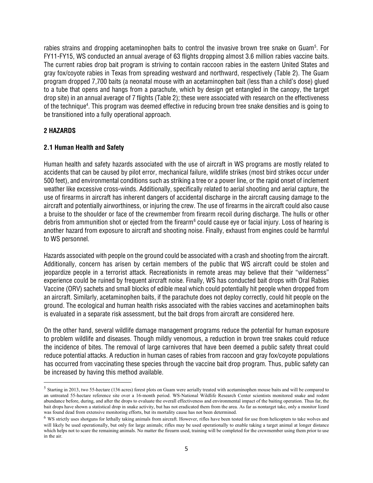rabies strains and dropping acetaminophen baits to control the invasive brown tree snake on Guam<sup>[5](#page-6-0)</sup>. For FY11-FY15, WS conducted an annual average of 63 flights dropping almost 3.6 million rabies vaccine baits. The current rabies drop bait program is striving to contain raccoon rabies in the eastern United States and gray fox/coyote rabies in Texas from spreading westward and northward, respectively (Table 2). The Guam program dropped 7,700 baits (a neonatal mouse with an acetaminophen bait (less than a child's dose) glued to a tube that opens and hangs from a parachute, which by design get entangled in the canopy, the target drop site) in an annual average of 7 flights (Table 2); these were associated with research on the effectiveness of the technique<sup>4</sup>. This program was deemed effective in reducing brown tree snake densities and is going to be transitioned into a fully operational approach.

# **2 HAZARDS**

 $\overline{\phantom{a}}$ 

# **2.1 Human Health and Safety**

Human health and safety hazards associated with the use of aircraft in WS programs are mostly related to accidents that can be caused by pilot error, mechanical failure, wildlife strikes (most bird strikes occur under 500 feet), and environmental conditions such as striking a tree or a power line, or the rapid onset of inclement weather like excessive cross-winds. Additionally, specifically related to aerial shooting and aerial capture, the use of firearms in aircraft has inherent dangers of accidental discharge in the aircraft causing damage to the aircraft and potentially airworthiness, or injuring the crew. The use of firearms in the aircraft could also cause a bruise to the shoulder or face of the crewmember from firearm recoil during discharge. The hulls or other debris from ammunition shot or ejected from the firearm<sup>[6](#page-6-1)</sup> could cause eye or facial injury. Loss of hearing is another hazard from exposure to aircraft and shooting noise. Finally, exhaust from engines could be harmful to WS personnel.

Hazards associated with people on the ground could be associated with a crash and shooting from the aircraft. Additionally, concern has arisen by certain members of the public that WS aircraft could be stolen and jeopardize people in a terrorist attack. Recreationists in remote areas may believe that their "wilderness" experience could be ruined by frequent aircraft noise. Finally, WS has conducted bait drops with Oral Rabies Vaccine (ORV) sachets and small blocks of edible meal which could potentially hit people when dropped from an aircraft. Similarly, acetaminophen baits, if the parachute does not deploy correctly, could hit people on the ground. The ecological and human health risks associated with the rabies vaccines and acetaminophen baits is evaluated in a separate risk assessment, but the bait drops from aircraft are considered here.

On the other hand, several wildlife damage management programs reduce the potential for human exposure to problem wildlife and diseases. Though mildly venomous, a reduction in brown tree snakes could reduce the incidence of bites. The removal of large carnivores that have been deemed a public safety threat could reduce potential attacks. A reduction in human cases of rabies from raccoon and gray fox/coyote populations has occurred from vaccinating these species through the vaccine bait drop program. Thus, public safety can be increased by having this method available.

<span id="page-6-0"></span><sup>&</sup>lt;sup>5</sup> Starting in 2013, two 55-hectare (136 acres) forest plots on Guam were aerially treated with acetaminophen mouse baits and will be compared to an untreated 55-hectare reference site over a 16-month period. WS-National Wildlife Research Center scientists monitored snake and rodent abundance before, during, and after the drops to evaluate the overall effectiveness and environmental impact of the baiting operation. Thus far, the bait drops have shown a statistical drop in snake activity, but has not eradicated them from the area. As far as nontarget take, only a monitor lizard was found dead from extensive monitoring efforts, but its mortality cause has not been determined.

<span id="page-6-1"></span><sup>&</sup>lt;sup>6</sup> WS strictly uses shotguns for lethally taking animals from aircraft. However, rifles have been tested for use from helicopters to take wolves and will likely be used operationally, but only for large animals; rifles may be used operationally to enable taking a target animal at longer distance which helps not to scare the remaining animals. No matter the firearm used, training will be completed for the crewmember using them prior to use in the air.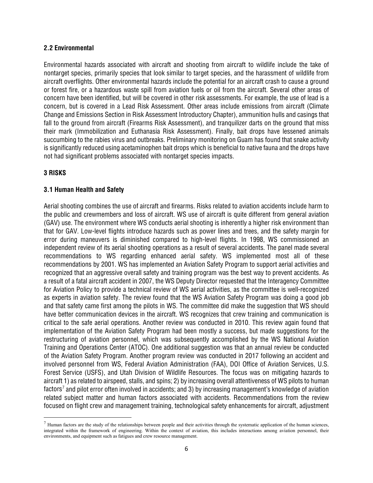# **2.2 Environmental**

Environmental hazards associated with aircraft and shooting from aircraft to wildlife include the take of nontarget species, primarily species that look similar to target species, and the harassment of wildlife from aircraft overflights. Other environmental hazards include the potential for an aircraft crash to cause a ground or forest fire, or a hazardous waste spill from aviation fuels or oil from the aircraft. Several other areas of concern have been identified, but will be covered in other risk assessments. For example, the use of lead is a concern, but is covered in a Lead Risk Assessment. Other areas include emissions from aircraft (Climate Change and Emissions Section in Risk Assessment Introductory Chapter), ammunition hulls and casings that fall to the ground from aircraft (Firearms Risk Assessment), and tranquilizer darts on the ground that miss their mark (Immobilization and Euthanasia Risk Assessment). Finally, bait drops have lessened animals succumbing to the rabies virus and outbreaks. Preliminary monitoring on Guam has found that snake activity is significantly reduced using acetaminophen bait drops which is beneficial to native fauna and the drops have not had significant problems associated with nontarget species impacts.

# **3 RISKS**

 $\overline{a}$ 

# **3.1 Human Health and Safety**

Aerial shooting combines the use of aircraft and firearms. Risks related to aviation accidents include harm to the public and crewmembers and loss of aircraft. WS use of aircraft is quite different from general aviation (GAV) use. The environment where WS conducts aerial shooting is inherently a higher risk environment than that for GAV. Low-level flights introduce hazards such as power lines and trees, and the safety margin for error during maneuvers is diminished compared to high-level flights. In 1998, WS commissioned an independent review of its aerial shooting operations as a result of several accidents. The panel made several recommendations to WS regarding enhanced aerial safety. WS implemented most all of these recommendations by 2001. WS has implemented an Aviation Safety Program to support aerial activities and recognized that an aggressive overall safety and training program was the best way to prevent accidents. As a result of a fatal aircraft accident in 2007, the WS Deputy Director requested that the Interagency Committee for Aviation Policy to provide a technical review of WS aerial activities, as the committee is well-recognized as experts in aviation safety. The review found that the WS Aviation Safety Program was doing a good job and that safety came first among the pilots in WS. The committee did make the suggestion that WS should have better communication devices in the aircraft. WS recognizes that crew training and communication is critical to the safe aerial operations. Another review was conducted in 2010. This review again found that implementation of the Aviation Safety Program had been mostly a success, but made suggestions for the restructuring of aviation personnel, which was subsequently accomplished by the WS National Aviation Training and Operations Center (ATOC). One additional suggestion was that an annual review be conducted of the Aviation Safety Program. Another program review was conducted in 2017 following an accident and involved personnel from WS, Federal Aviation Administration (FAA), DOI Office of Aviation Services, U.S. Forest Service (USFS), and Utah Division of Wildlife Resources. The focus was on mitigating hazards to aircraft 1) as related to airspeed, stalls, and spins; 2) by increasing overall attentiveness of WS pilots to human factors<sup>[7](#page-7-0)</sup> and pilot error often involved in accidents; and 3) by increasing management's knowledge of aviation related subject matter and human factors associated with accidents. Recommendations from the review focused on flight crew and management training, technological safety enhancements for aircraft, adjustment

<span id="page-7-0"></span> $<sup>7</sup>$  Human factors are the study of the relationships between people and their activities through the systematic application of the human sciences,</sup> integrated within the framework of engineering. Within the context of aviation, this includes interactions among aviation personnel, their environments, and equipment such as fatigues and crew resource management.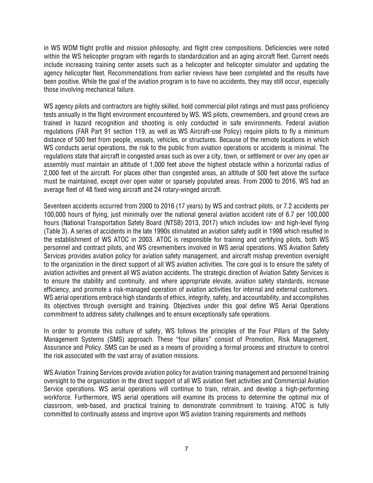in WS WDM flight profile and mission philosophy, and flight crew compositions. Deficiencies were noted within the WS helicopter program with regards to standardization and an aging aircraft fleet. Current needs include increasing training center assets such as a helicopter and helicopter simulator and updating the agency helicopter fleet. Recommendations from earlier reviews have been completed and the results have been positive. While the goal of the aviation program is to have no accidents, they may still occur, especially those involving mechanical failure.

WS agency pilots and contractors are highly skilled, hold commercial pilot ratings and must pass proficiency tests annually in the flight environment encountered by WS. WS pilots, crewmembers, and ground crews are trained in hazard recognition and shooting is only conducted in safe environments. Federal aviation regulations (FAR Part 91 section 119, as well as WS Aircraft-use Policy) require pilots to fly a minimum distance of 500 feet from people, vessels, vehicles, or structures. Because of the remote locations in which WS conducts aerial operations, the risk to the public from aviation operations or accidents is minimal. The regulations state that aircraft in congested areas such as over a city, town, or settlement or over any open air assembly must maintain an altitude of 1,000 feet above the highest obstacle within a horizontal radius of 2,000 feet of the aircraft. For places other than congested areas, an altitude of 500 feet above the surface must be maintained, except over open water or sparsely populated areas. From 2000 to 2016, WS had an average fleet of 48 fixed wing aircraft and 24 rotary-winged aircraft.

Seventeen accidents occurred from 2000 to 2016 (17 years) by WS and contract pilots, or 7.2 accidents per 100,000 hours of flying, just minimally over the national general aviation accident rate of 6.7 per 100,000 hours (National Transportation Safety Board (NTSB) 2013, 2017) which includes low- and high-level flying (Table 3). A series of accidents in the late 1990s stimulated an aviation safety audit in 1998 which resulted in the establishment of WS ATOC in 2003. ATOC is responsible for training and certifying pilots, both WS personnel and contract pilots, and WS crewmembers involved in WS aerial operations. WS Aviation Safety Services provides aviation policy for aviation safety management, and aircraft mishap prevention oversight to the organization in the direct support of all WS aviation activities. The core goal is to ensure the safety of aviation activities and prevent all WS aviation accidents. The strategic direction of Aviation Safety Services is to ensure the stability and continuity, and where appropriate elevate, aviation safety standards, increase efficiency, and promote a risk-managed operation of aviation activities for internal and external customers. WS aerial operations embrace high standards of ethics, integrity, safety, and accountability, and accomplishes its objectives through oversight and training. Objectives under this goal define WS Aerial Operations commitment to address safety challenges and to ensure exceptionally safe operations.

In order to promote this culture of safety, WS follows the principles of the Four Pillars of the Safety Management Systems (SMS) approach. These "four pillars" consist of Promotion, Risk Management, Assurance and Policy. SMS can be used as a means of providing a formal process and structure to control the risk associated with the vast array of aviation missions.

WS Aviation Training Services provide aviation policy for aviation training management and personnel training oversight to the organization in the direct support of all WS aviation fleet activities and Commercial Aviation Service operations. WS aerial operations will continue to train, retrain, and develop a high-performing workforce. Furthermore, WS aerial operations will examine its process to determine the optimal mix of classroom, web-based, and practical training to demonstrate commitment to training. ATOC is fully committed to continually assess and improve upon WS aviation training requirements and methods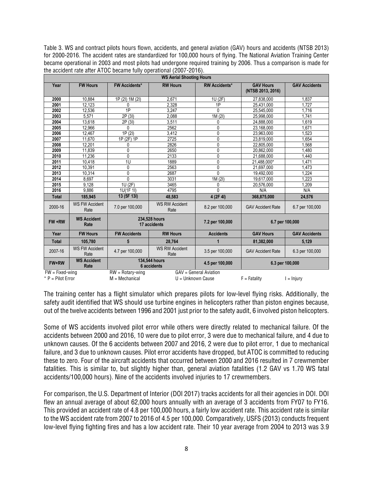Table 3. WS and contract pilots hours flown, accidents, and general aviation (GAV) hours and accidents (NTSB 2013) for 2000-2016. The accident rates are standardized for 100,000 hours of flying. The National Aviation Training Center became operational in 2003 and most pilots had undergone required training by 2006. Thus a comparison is made for the accident rate after ATOC became fully operational (2007-2016).

| <b>WS Aerial Shooting Hours</b> |                               |                               |                               |                        |                                       |                      |
|---------------------------------|-------------------------------|-------------------------------|-------------------------------|------------------------|---------------------------------------|----------------------|
| Year                            | <b>FW Hours</b>               | <b>FW Accidents*</b>          | <b>RW Hours</b>               | <b>RW Accidents*</b>   | <b>GAV Hours</b><br>(NTSB 2013, 2016) | <b>GAV Accidents</b> |
| 2000                            | 10.884                        | 1P (2I) 1M (2I)               | 2.671                         | 1U (2F)                | 27.838.000                            | 1.837                |
| 2001                            | 12.123                        | $\Omega$                      | 2,328                         | 1P                     | 25,431,000                            | 1.727                |
| 2002                            | 12,536                        | 1P                            | 3,247                         | $\Omega$               | 25,545,000                            | 1,716                |
| 2003                            | 5,571                         | 2P (3I)                       | 2,088                         | 1M(2I)                 | 25,998,000                            | 1,741                |
| 2004                            | 13,618                        | 2P (3I)                       | 3,511                         | 0                      | 24,888,000                            | 1,619                |
| 2005                            | 12.966                        | $\Omega$                      | 2562                          | 0                      | 23,168,000                            | 1.671                |
| 2006                            | 12.467                        | 1P(2I)                        | 3,412                         | 0                      | 23,963,000                            | 1.523                |
| 2007                            | 11.670                        | 1P (2F) 1P                    | 2725                          | 0                      | 23,819,000                            | 1.654                |
| 2008                            | 12,201                        | 0                             | 2826                          | 0                      | 22,805,000                            | .568                 |
| 2009                            | 11,839                        | 0                             | 2650                          | 0                      | 20,862,000                            | 1,480                |
| 2010                            | 11.236                        | 0                             | 2133                          | 0                      | 21.688.000                            | 1.440                |
| 2011                            | 10.418                        | 1U                            | 1889                          | $\Omega$               | 21.488.000*                           | 1.471                |
| 2012                            | 10.391                        | 0                             | 2563                          | 0                      | 21,697,000                            | 1.473                |
| 2013                            | 10.314                        | $\mathbf{0}$                  | 2687                          | $\Omega$               | 19,492,000                            | 224                  |
| 2014                            | 8.697                         | $\mathbf{0}$                  | 3031                          | 1M(2)                  | 19,617,000                            | $\overline{223}$     |
| 2015                            | 9.128                         | 1U(2F)                        | 3465                          | 0                      | 20,576,000                            | 1.209                |
| 2016                            | 9,886                         | 1U(1F 1I)                     | 4795                          | $\Omega$               | N/A                                   | N/A                  |
| <b>Total</b>                    | 185,945                       | 13 (5F 13I)                   | 48.583                        | 4 (2F 4I)              | 368,875,000                           | 24,576               |
| 2000-16                         | <b>WS FW Accident</b><br>Rate | 7.0 per 100,000               | <b>WS RW Accident</b><br>Rate | 8.2 per 100,000        | <b>GAV Accident Rate</b>              | 6.7 per 100,000      |
| FW+RW                           | <b>WS Accident</b><br>Rate    | 234,528 hours<br>17 accidents |                               | 7.2 per 100,000        |                                       | 6.7 per 100,000      |
| Year                            | <b>FW Hours</b>               | <b>FW Accidents</b>           | <b>RW Hours</b>               | <b>Accidents</b>       | <b>GAV Hours</b>                      | <b>GAV Accidents</b> |
| <b>Total</b>                    | 105,780                       | 5                             | 28,764                        | 1                      | 81,382,000                            | 5,129                |
| 2007-16                         | <b>WS FW Accident</b><br>Rate | 4.7 per 100,000               | <b>WS RW Accident</b><br>Rate | 3.5 per 100,000        | <b>GAV Accident Rate</b>              | 6.3 per 100,000      |
| FW+RW                           | <b>WS Accident</b><br>Rate    |                               | 134,544 hours<br>6 accidents  | 4.5 per 100,000        |                                       | 6.3 per 100,000      |
| $FW = Fixed-wing$               |                               | $RW = Rotary\text{-wing}$     |                               | GAV = General Aviation |                                       |                      |
| * $P =$ Pilot Error             |                               | $M = \text{Mechanical}$       |                               | U = Unknown Cause      | $F =$ Fatality                        | $l = Injurv$         |

The training center has a flight simulator which prepares pilots for low-level flying risks. Additionally, the safety audit identified that WS should use turbine engines in helicopters rather than piston engines because, out of the twelve accidents between 1996 and 2001 just prior to the safety audit, 6 involved piston helicopters.

Some of WS accidents involved pilot error while others were directly related to mechanical failure. Of the accidents between 2000 and 2016, 10 were due to pilot error, 3 were due to mechanical failure, and 4 due to unknown causes. Of the 6 accidents between 2007 and 2016, 2 were due to pilot error, 1 due to mechanical failure, and 3 due to unknown causes. Pilot error accidents have dropped, but ATOC is committed to reducing these to zero. Four of the aircraft accidents that occurred between 2000 and 2016 resulted in 7 crewmember fatalities. This is similar to, but slightly higher than, general aviation fatalities (1.2 GAV vs 1.70 WS fatal accidents/100,000 hours). Nine of the accidents involved injuries to 17 crewmembers.

For comparison, the U.S. Department of Interior (DOI 2017) tracks accidents for all their agencies in DOI. DOI flew an annual average of about 62,000 hours annually with an average of 3 accidents from FY07 to FY16. This provided an accident rate of 4.8 per 100,000 hours, a fairly low accident rate. This accident rate is similar to the WS accident rate from 2007 to 2016 of 4.5 per 100,000. Comparatively, USFS (2013) conducts frequent low-level flying fighting fires and has a low accident rate. Their 10 year average from 2004 to 2013 was 3.9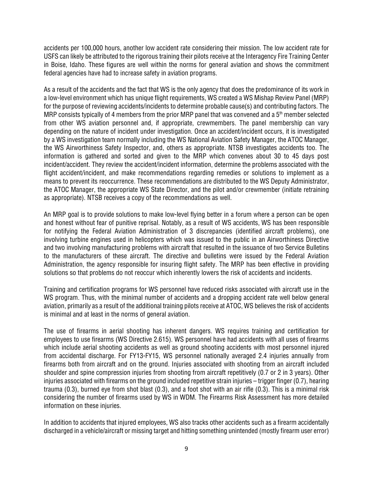accidents per 100,000 hours, another low accident rate considering their mission. The low accident rate for USFS can likely be attributed to the rigorous training their pilots receive at the Interagency Fire Training Center in Boise, Idaho. These figures are well within the norms for general aviation and shows the commitment federal agencies have had to increase safety in aviation programs.

As a result of the accidents and the fact that WS is the only agency that does the predominance of its work in a low-level environment which has unique flight requirements, WS created a WS Mishap Review Panel (MRP) for the purpose of reviewing accidents/incidents to determine probable cause(s) and contributing factors. The MRP consists typically of 4 members from the prior MRP panel that was convened and a  $5<sup>th</sup>$  member selected from other WS aviation personnel and, if appropriate, crewmembers. The panel membership can vary depending on the nature of incident under investigation. Once an accident/incident occurs, it is investigated by a WS investigation team normally including the WS National Aviation Safety Manager, the ATOC Manager, the WS Airworthiness Safety Inspector, and, others as appropriate. NTSB investigates accidents too. The information is gathered and sorted and given to the MRP which convenes about 30 to 45 days post incident/accident. They review the accident/incident information, determine the problems associated with the flight accident/incident, and make recommendations regarding remedies or solutions to implement as a means to prevent its reoccurrence. These recommendations are distributed to the WS Deputy Administrator, the ATOC Manager, the appropriate WS State Director, and the pilot and/or crewmember (initiate retraining as appropriate). NTSB receives a copy of the recommendations as well.

An MRP goal is to provide solutions to make low-level flying better in a forum where a person can be open and honest without fear of punitive reprisal. Notably, as a result of WS accidents, WS has been responsible for notifying the Federal Aviation Administration of 3 discrepancies (identified aircraft problems), one involving turbine engines used in helicopters which was issued to the public in an Airworthiness Directive and two involving manufacturing problems with aircraft that resulted in the issuance of two Service Bulletins to the manufacturers of these aircraft. The directive and bulletins were issued by the Federal Aviation Administration, the agency responsible for insuring flight safety. The MRP has been effective in providing solutions so that problems do not reoccur which inherently lowers the risk of accidents and incidents.

Training and certification programs for WS personnel have reduced risks associated with aircraft use in the WS program. Thus, with the minimal number of accidents and a dropping accident rate well below general aviation, primarily as a result of the additional training pilots receive at ATOC, WS believes the risk of accidents is minimal and at least in the norms of general aviation.

The use of firearms in aerial shooting has inherent dangers. WS requires training and certification for employees to use firearms (WS Directive 2.615). WS personnel have had accidents with all uses of firearms which include aerial shooting accidents as well as ground shooting accidents with most personnel injured from accidental discharge. For FY13-FY15, WS personnel nationally averaged 2.4 injuries annually from firearms both from aircraft and on the ground. Injuries associated with shooting from an aircraft included shoulder and spine compression injuries from shooting from aircraft repetitively (0.7 or 2 in 3 years). Other injuries associated with firearms on the ground included repetitive strain injuries – trigger finger (0.7), hearing trauma (0.3), burned eye from shot blast (0.3), and a foot shot with an air rifle (0.3). This is a minimal risk considering the number of firearms used by WS in WDM. The Firearms Risk Assessment has more detailed information on these injuries.

In addition to accidents that injured employees, WS also tracks other accidents such as a firearm accidentally discharged in a vehicle/aircraft or missing target and hitting something unintended (mostly firearm user error)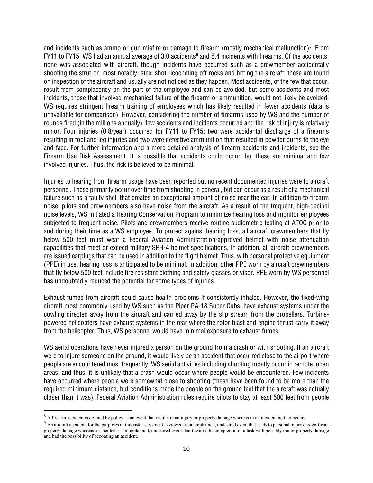and incidents such as ammo or gun misfire or damage to firearm (mostly mechanical malfunction)<sup>[8](#page-11-0)</sup>. From FY11 to FY15, WS had an annual average of 3.0 accidents<sup>[9](#page-11-1)</sup> and 8.4 incidents with firearms. Of the accidents, none was associated with aircraft, though incidents have occurred such as a crewmember accidentally shooting the strut or, most notably, steel shot ricocheting off rocks and hitting the aircraft; these are found on inspection of the aircraft and usually are not noticed as they happen. Most accidents, of the few that occur, result from complacency on the part of the employee and can be avoided, but some accidents and most incidents, those that involved mechanical failure of the firearm or ammunition, would not likely be avoided. WS requires stringent firearm training of employees which has likely resulted in fewer accidents (data is unavailable for comparison). However, considering the number of firearms used by WS and the number of rounds fired (in the millions annually), few accidents and incidents occurred and the risk of injury is relatively minor. Four injuries (0.8/year) occurred for FY11 to FY15; two were accidental discharge of a firearms resulting in foot and leg injuries and two were defective ammunition that resulted in powder burns to the eye and face. For further information and a more detailed analysis of firearm accidents and incidents, see the Firearm Use Risk Assessment. It is possible that accidents could occur, but these are minimal and few involved injuries. Thus, the risk is believed to be minimal.

Injuries to hearing from firearm usage have been reported but no recent documented injuries were to aircraft personnel. These primarily occur over time from shooting in general, but can occur as a result of a mechanical failure,such as a faulty shell that creates an exceptional amount of noise near the ear. In addition to firearm noise, pilots and crewmembers also have noise from the aircraft. As a result of the frequent, high-decibel noise levels, WS initiated a Hearing Conservation Program to minimize hearing loss and monitor employees subjected to frequent noise. Pilots and crewmembers receive routine audiometric testing at ATOC prior to and during their time as a WS employee. To protect against hearing loss, all aircraft crewmembers that fly below 500 feet must wear a Federal Aviation Administration-approved helmet with noise attenuation capabilities that meet or exceed military SPH-4 helmet specifications. In addition, all aircraft crewmembers are issued earplugs that can be used in addition to the flight helmet. Thus, with personal protective equipment (PPE) in use, hearing loss is anticipated to be minimal. In addition, other PPE worn by aircraft crewmembers that fly below 500 feet include fire resistant clothing and safety glasses or visor. PPE worn by WS personnel has undoubtedly reduced the potential for some types of injuries.

Exhaust fumes from aircraft could cause health problems if consistently inhaled. However, the fixed-wing aircraft most commonly used by WS such as the Piper PA-18 Super Cubs, have exhaust systems under the cowling directed away from the aircraft and carried away by the slip stream from the propellers. Turbinepowered helicopters have exhaust systems in the rear where the rotor blast and engine thrust carry it away from the helicopter. Thus, WS personnel would have minimal exposure to exhaust fumes.

WS aerial operations have never injured a person on the ground from a crash or with shooting. If an aircraft were to injure someone on the ground, it would likely be an accident that occurred close to the airport where people are encountered most frequently. WS aerial activities including shooting mostly occur in remote, open areas, and thus, it is unlikely that a crash would occur where people would be encountered. Few incidents have occurred where people were somewhat close to shooting (these have been found to be more than the required minimum distance, but conditions made the people on the ground feel that the aircraft was actually closer than it was). Federal Aviation Administration rules require pilots to stay at least 500 feet from people

l

<span id="page-11-0"></span><sup>&</sup>lt;sup>8</sup> A firearm accident is defined by policy as an event that results in an injury or property damage whereas in an incident neither occurs.

<span id="page-11-1"></span><sup>&</sup>lt;sup>9</sup> An aircraft accident, for the purposes of this risk assessment is viewed as an unplanned, undesired event that leads to personal injury or significant property damage whereas an incident is an unplanned, undesired event that thwarts the completion of a task with possibly minor property damage and had the possibility of becoming an accident.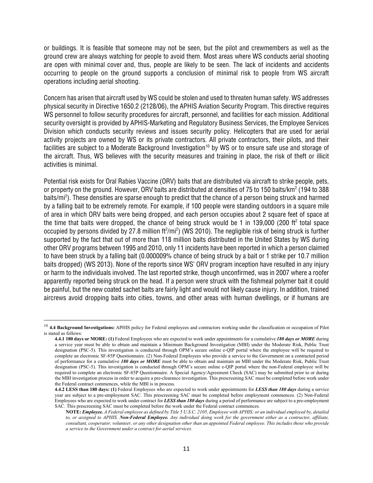or buildings. It is feasible that someone may not be seen, but the pilot and crewmembers as well as the ground crew are always watching for people to avoid them. Most areas where WS conducts aerial shooting are open with minimal cover and, thus, people are likely to be seen. The lack of incidents and accidents occurring to people on the ground supports a conclusion of minimal risk to people from WS aircraft operations including aerial shooting.

Concern has arisen that aircraft used by WS could be stolen and used to threaten human safety. WS addresses physical security in Directive 1650.2 (2128/06), the APHIS Aviation Security Program. This directive requires WS personnel to follow security procedures for aircraft, personnel, and facilities for each mission. Additional security oversight is provided by APHIS-Marketing and Regulatory Business Services, the Employee Services Division which conducts security reviews and issues security policy. Helicopters that are used for aerial activity projects are owned by WS or its private contractors. All private contractors, their pilots, and their facilities are subject to a Moderate Background Investigation<sup>[10](#page-12-0)</sup> by WS or to ensure safe use and storage of the aircraft. Thus, WS believes with the security measures and training in place, the risk of theft or illicit activities is minimal.

Potential risk exists for Oral Rabies Vaccine (ORV) baits that are distributed via aircraft to strike people, pets, or property on the ground. However, ORV baits are distributed at densities of 75 to 150 baits/km<sup>2</sup> (194 to 388) baits/mi<sup>2</sup>). These densities are sparse enough to predict that the chance of a person being struck and harmed by a falling bait to be extremely remote. For example, if 100 people were standing outdoors in a square mile of area in which ORV baits were being dropped, and each person occupies about 2 square feet of space at the time that baits were dropped, the chance of being struck would be 1 in 139,000 (200 ft<sup>2</sup> total space occupied by persons divided by 27.8 million ft $^{2}/$ mi $^{2}$ ) (WS 2010). The negligible risk of being struck is further supported by the fact that out of more than 118 million baits distributed in the United States by WS during other ORV programs between 1995 and 2010, only 11 incidents have been reported in which a person claimed to have been struck by a falling bait (0.000009% chance of being struck by a bait or 1 strike per 10.7 million baits dropped) (WS 2013). None of the reports since WS' ORV program inception have resulted in any injury or harm to the individuals involved. The last reported strike, though unconfirmed, was in 2007 where a roofer apparently reported being struck on the head. If a person were struck with the fishmeal polymer bait it could be painful, but the new coated sachet baits are fairly light and would not likely cause injury. In addition, trained aircrews avoid dropping baits into cities, towns, and other areas with human dwellings, or if humans are

 $\overline{a}$ 

<span id="page-12-0"></span><sup>&</sup>lt;sup>10</sup> 4.4 Background Investigations: APHIS policy for Federal employees and contractors working under the classification or occupation of Pilot is stated as follows:

**<sup>4.4.1 180</sup> days or MORE: (1)** Federal Employees who are expected to work under appointments for a cumulative *180 days or MORE* during a service year must be able to obtain and maintain a Minimum Background Investigation (MBI) under the Moderate Risk, Public Trust designation (PSC-5). This investigation is conducted through OPM's secure online e-QIP portal where the employee will be required to complete an electronic SF-85P Questionnaire. (2) Non-Federal Employees who provide a service to the Government on a contracted period of performance for a cumulative *180 days or MORE* must be able to obtain and maintain an MBI under the Moderate Risk, Public Trust designation (PSC-5). This investigation is conducted through OPM's secure online e-QIP portal where the non-Federal employee will be required to complete an electronic SF-85P Questionnaire. A Special Agency/Agreement Check (SAC) may be submitted prior to or during the MBI investigation process in order to acquire a pre-clearance investigation. This prescreening SAC must be completed before work under the Federal contract commences, while the MBI is in process.

**<sup>4.4.2</sup> LESS than 180 days: (1)** Federal Employees who are expected to work under appointments for *LESS than 180 days* during a service year are subject to a pre-employment SAC. This prescreening SAC must be completed before employment commences. (2) Non-Federal Employees who are expected to work under contract for *LESS than 180 days* during a period of performance are subject to a pre-employment SAC*.* This prescreening SAC must be completed before the work under the Federal contract commences.

**NOTE:** *Employee. A Federal employee as defined by Title 5 U.S.C. 2105, Employee with APHIS; or an individual employed by, detailed to, or assigned to APHIS. Non-Federal Employee. Any individual doing work for the government either as a contractor, affiliate, consultant, cooperator, volunteer, or any other designation other than an appointed Federal employee. This includes those who provide a service to the Government under a contract for aerial services.*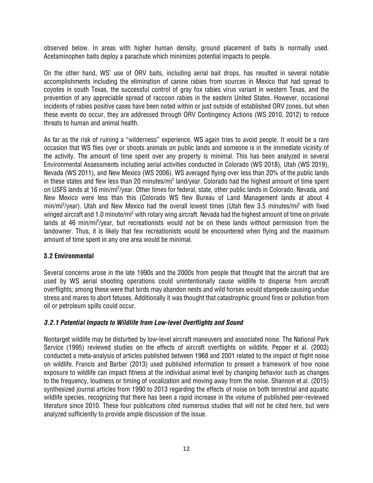observed below. In areas with higher human density, ground placement of baits is normally used. Acetaminophen baits deploy a parachute which minimizes potential impacts to people.

On the other hand, WS' use of ORV baits, including aerial bait drops, has resulted in several notable accomplishments including the elimination of canine rabies from sources in Mexico that had spread to coyotes in south Texas, the successful control of gray fox rabies virus variant in western Texas, and the prevention of any appreciable spread of raccoon rabies in the eastern United States. However, occasional incidents of rabies positive cases have been noted within or just outside of established ORV zones, but when these events do occur, they are addressed through ORV Contingency Actions (WS 2010, 2012) to reduce threats to human and animal health.

As far as the risk of ruining a "wilderness" experience, WS again tries to avoid people. It would be a rare occasion that WS flies over or shoots animals on public lands and someone is in the immediate vicinity of the activity. The amount of time spent over any property is minimal. This has been analyzed in several Environmental Assessments including aerial activities conducted in Colorado (WS 2018), Utah (WS 2019), Nevada (WS 2011), and New Mexico (WS 2006). WS averaged flying over less than 20% of the public lands in these states and flew less than 20 minutes/mi<sup>2</sup> land/year. Colorado had the highest amount of time spent on USFS lands at 16 min/mi<sup>2</sup>/year. Other times for federal, state, other public lands in Colorado, Nevada, and New Mexico were less than this (Colorado WS flew Bureau of Land Management lands at about 4 min/mi<sup>2</sup>/year). Utah and New Mexico had the overall lowest times (Utah flew 3.5 minutes/mi<sup>2</sup> with fixed winged aircraft and 1.0 minute/mi2 with rotary wing aircraft. Nevada had the highest amount of time on private lands at 46 min/mi<sup>2</sup>/year, but recreationists would not be on these lands without permission from the landowner. Thus, it is likely that few recreationists would be encountered when flying and the maximum amount of time spent in any one area would be minimal.

# **3.2 Environmental**

Several concerns arose in the late 1990s and the 2000s from people that thought that the aircraft that are used by WS aerial shooting operations could unintentionally cause wildlife to disperse from aircraft overflights; among these were that birds may abandon nests and wild horses would stampede causing undue stress and mares to abort fetuses. Additionally it was thought that catastrophic ground fires or pollution from oil or petroleum spills could occur.

# *3.2.1 Potential Impacts to Wildlife from Low-level Overflights and Sound*

Nontarget wildlife may be disturbed by low-level aircraft maneuvers and associated noise. The National Park Service (1995) reviewed studies on the effects of aircraft overflights on wildlife. Pepper et al. (2003) conducted a meta-analysis of articles published between 1968 and 2001 related to the impact of flight noise on wildlife. Francis and Barber (2013) used published information to present a framework of how noise exposure to wildlife can impact fitness at the individual animal level by changing behavior such as changes to the frequency, loudness or timing of vocalization and moving away from the noise. Shannon et al. (2015) synthesized journal articles from 1990 to 2013 regarding the effects of noise on both terrestrial and aquatic wildlife species, recognizing that there has been a rapid increase in the volume of published peer-reviewed literature since 2010. These four publications cited numerous studies that will not be cited here, but were analyzed sufficiently to provide ample discussion of the issue.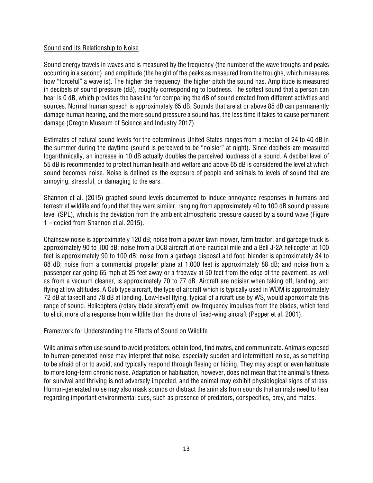# Sound and Its Relationship to Noise

Sound energy travels in waves and is measured by the frequency (the number of the wave troughs and peaks occurring in a second), and amplitude (the height of the peaks as measured from the troughs, which measures how "forceful" a wave is). The higher the frequency, the higher pitch the sound has. Amplitude is measured in decibels of sound pressure (dB), roughly corresponding to loudness. The softest sound that a person can hear is 0 dB, which provides the baseline for comparing the dB of sound created from different activities and sources. Normal human speech is approximately 65 dB. Sounds that are at or above 85 dB can permanently damage human hearing, and the more sound pressure a sound has, the less time it takes to cause permanent damage (Oregon Museum of Science and Industry 2017).

Estimates of natural sound levels for the coterminous United States ranges from a median of 24 to 40 dB in the summer during the daytime (sound is perceived to be "noisier" at night). Since decibels are measured logarithmically, an increase in 10 dB actually doubles the perceived loudness of a sound. A decibel level of 55 dB is recommended to protect human health and welfare and above 65 dB is considered the level at which sound becomes noise. Noise is defined as the exposure of people and animals to levels of sound that are annoying, stressful, or damaging to the ears.

Shannon et al. (2015) graphed sound levels documented to induce annoyance responses in humans and terrestrial wildlife and found that they were similar, ranging from approximately 40 to 100 dB sound pressure level (SPL), which is the deviation from the ambient atmospheric pressure caused by a sound wave (Figure 1 – copied from Shannon et al. 2015).

Chainsaw noise is approximately 120 dB; noise from a power lawn mower, farm tractor, and garbage truck is approximately 90 to 100 dB; noise from a DC8 aircraft at one nautical mile and a Bell J-2A helicopter at 100 feet is approximately 90 to 100 dB; noise from a garbage disposal and food blender is approximately 84 to 88 dB; noise from a commercial propeller plane at 1,000 feet is approximately 88 dB; and noise from a passenger car going 65 mph at 25 feet away or a freeway at 50 feet from the edge of the pavement, as well as from a vacuum cleaner, is approximately 70 to 77 dB. Aircraft are noisier when taking off, landing, and flying at low altitudes. A Cub type aircraft, the type of aircraft which is typically used in WDM is approximately 72 dB at takeoff and 78 dB at landing. Low-level flying, typical of aircraft use by WS, would approximate this range of sound. Helicopters (rotary blade aircraft) emit low-frequency impulses from the blades, which tend to elicit more of a response from wildlife than the drone of fixed-wing aircraft (Pepper et al. 2001).

# Framework for Understanding the Effects of Sound on Wildlife

Wild animals often use sound to avoid predators, obtain food, find mates, and communicate. Animals exposed to human-generated noise may interpret that noise, especially sudden and intermittent noise, as something to be afraid of or to avoid, and typically respond through fleeing or hiding. They may adapt or even habituate to more long-term chronic noise. Adaptation or habituation, however, does not mean that the animal's fitness for survival and thriving is not adversely impacted, and the animal may exhibit physiological signs of stress. Human-generated noise may also mask sounds or distract the animals from sounds that animals need to hear regarding important environmental cues, such as presence of predators, conspecifics, prey, and mates.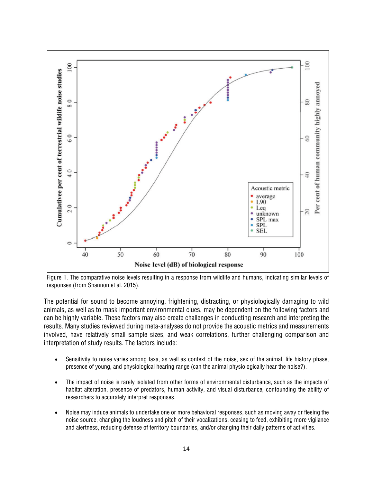

Figure 1. The comparative noise levels resulting in a response from wildlife and humans, indicating similar levels of responses (from Shannon et al. 2015).

The potential for sound to become annoying, frightening, distracting, or physiologically damaging to wild animals, as well as to mask important environmental clues, may be dependent on the following factors and can be highly variable. These factors may also create challenges in conducting research and interpreting the results. Many studies reviewed during meta-analyses do not provide the acoustic metrics and measurements involved, have relatively small sample sizes, and weak correlations, further challenging comparison and interpretation of study results. The factors include:

- Sensitivity to noise varies among taxa, as well as context of the noise, sex of the animal, life history phase, presence of young, and physiological hearing range (can the animal physiologically hear the noise?).
- The impact of noise is rarely isolated from other forms of environmental disturbance, such as the impacts of habitat alteration, presence of predators, human activity, and visual disturbance, confounding the ability of researchers to accurately interpret responses.
- Noise may induce animals to undertake one or more behavioral responses, such as moving away or fleeing the noise source, changing the loudness and pitch of their vocalizations, ceasing to feed, exhibiting more vigilance and alertness, reducing defense of territory boundaries, and/or changing their daily patterns of activities.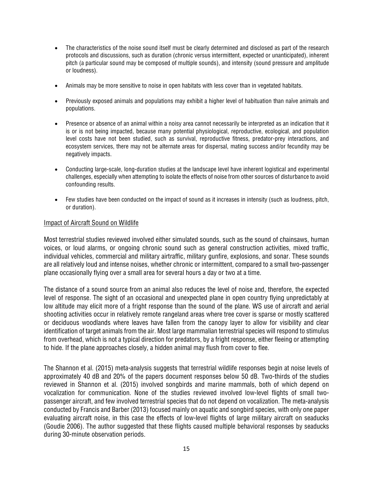- The characteristics of the noise sound itself must be clearly determined and disclosed as part of the research protocols and discussions, such as duration (chronic versus intermittent, expected or unanticipated), inherent pitch (a particular sound may be composed of multiple sounds), and intensity (sound pressure and amplitude or loudness).
- Animals may be more sensitive to noise in open habitats with less cover than in vegetated habitats.
- Previously exposed animals and populations may exhibit a higher level of habituation than naïve animals and populations.
- Presence or absence of an animal within a noisy area cannot necessarily be interpreted as an indication that it is or is not being impacted, because many potential physiological, reproductive, ecological, and population level costs have not been studied, such as survival, reproductive fitness, predator-prey interactions, and ecosystem services, there may not be alternate areas for dispersal, mating success and/or fecundity may be negatively impacts.
- Conducting large-scale, long-duration studies at the landscape level have inherent logistical and experimental challenges, especially when attempting to isolate the effects of noise from other sources of disturbance to avoid confounding results.
- Few studies have been conducted on the impact of sound as it increases in intensity (such as loudness, pitch, or duration).

### Impact of Aircraft Sound on Wildlife

Most terrestrial studies reviewed involved either simulated sounds, such as the sound of chainsaws, human voices, or loud alarms, or ongoing chronic sound such as general construction activities, mixed traffic, individual vehicles, commercial and military airtraffic, military gunfire, explosions, and sonar. These sounds are all relatively loud and intense noises, whether chronic or intermittent, compared to a small two-passenger plane occasionally flying over a small area for several hours a day or two at a time.

The distance of a sound source from an animal also reduces the level of noise and, therefore, the expected level of response. The sight of an occasional and unexpected plane in open country flying unpredictably at low altitude may elicit more of a fright response than the sound of the plane. WS use of aircraft and aerial shooting activities occur in relatively remote rangeland areas where tree cover is sparse or mostly scattered or deciduous woodlands where leaves have fallen from the canopy layer to allow for visibility and clear identification of target animals from the air. Most large mammalian terrestrial species will respond to stimulus from overhead, which is not a typical direction for predators, by a fright response, either fleeing or attempting to hide. If the plane approaches closely, a hidden animal may flush from cover to flee.

The Shannon et al. (2015) meta-analysis suggests that terrestrial wildlife responses begin at noise levels of approximately 40 dB and 20% of the papers document responses below 50 dB. Two-thirds of the studies reviewed in Shannon et al. (2015) involved songbirds and marine mammals, both of which depend on vocalization for communication. None of the studies reviewed involved low-level flights of small twopassenger aircraft, and few involved terrestrial species that do not depend on vocalization. The meta-analysis conducted by Francis and Barber (2013) focused mainly on aquatic and songbird species, with only one paper evaluating aircraft noise, in this case the effects of low-level flights of large military aircraft on seaducks (Goudie 2006). The author suggested that these flights caused multiple behavioral responses by seaducks during 30-minute observation periods.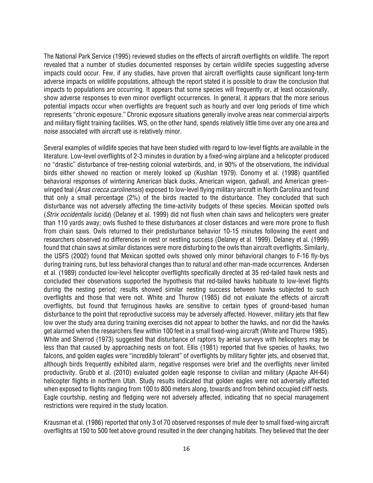The National Park Service (1995) reviewed studies on the effects of aircraft overflights on wildlife. The report revealed that a number of studies documented responses by certain wildlife species suggesting adverse impacts could occur. Few, if any studies, have proven that aircraft overflights cause significant long-term adverse impacts on wildlife populations, although the report stated it is possible to draw the conclusion that impacts to populations are occurring. It appears that some species will frequently or, at least occasionally, show adverse responses to even minor overflight occurrences. In general, it appears that the more serious potential impacts occur when overflights are frequent such as hourly and over long periods of time which represents "chronic exposure." Chronic exposure situations generally involve areas near commercial airports and military flight training facilities. WS, on the other hand, spends relatively little time over any one area and noise associated with aircraft use is relatively minor.

Several examples of wildlife species that have been studied with regard to low-level flights are available in the literature. Low-level overflights of 2-3 minutes in duration by a fixed-wing airplane and a helicopter produced no "drastic" disturbance of tree-nesting colonial waterbirds, and, in 90% of the observations, the individual birds either showed no reaction or merely looked up (Kushlan 1979). Conomy et al. (1998) quantified behavioral responses of wintering American black ducks, American wigeon, gadwall, and American greenwinged teal (*Anas crecca carolinensis*) exposed to low-level flying military aircraft in North Carolina and found that only a small percentage (2%) of the birds reacted to the disturbance. They concluded that such disturbance was not adversely affecting the time-activity budgets of these species. Mexican spotted owls (*Strix occidentalis lucida*) (Delaney et al. 1999) did not flush when chain saws and helicopters were greater than 110 yards away; owls flushed to these disturbances at closer distances and were more prone to flush from chain saws. Owls returned to their predisturbance behavior 10-15 minutes following the event and researchers observed no differences in nest or nestling success (Delaney et al. 1999). Delaney et al. (1999) found that chain saws at similar distances were more disturbing to the owls than aircraft overflights. Similarly, the USFS (2002) found that Mexican spotted owls showed only minor behavioral changes to F-16 fly-bys during training runs, but less behavioral changes than to natural and other man-made occurrences. Andersen et al. (1989) conducted low-level helicopter overflights specifically directed at 35 red-tailed hawk nests and concluded their observations supported the hypothesis that red-tailed hawks habituate to low-level flights during the nesting period; results showed similar nesting success between hawks subjected to such overflights and those that were not. White and Thurow (1985) did not evaluate the effects of aircraft overflights, but found that ferruginous hawks are sensitive to certain types of ground-based human disturbance to the point that reproductive success may be adversely affected. However, military jets that flew low over the study area during training exercises did not appear to bother the hawks, and nor did the hawks get alarmed when the researchers flew within 100 feet in a small fixed-wing aircraft (White and Thurow 1985). White and Sherrod (1973) suggested that disturbance of raptors by aerial surveys with helicopters may be less than that caused by approaching nests on foot. Ellis (1981) reported that five species of hawks, two falcons, and golden eagles were "incredibly tolerant" of overflights by military fighter jets, and observed that, although birds frequently exhibited alarm, negative responses were brief and the overflights never limited productivity. Grubb et al. (2010) evaluated golden eagle response to civilian and military (Apache AH-64) helicopter flights in northern Utah. Study results indicated that golden eagles were not adversely affected when exposed to flights ranging from 100 to 800 meters along, towards and from behind occupied cliff nests. Eagle courtship, nesting and fledging were not adversely affected, indicating that no special management restrictions were required in the study location.

Krausman et al. (1986) reported that only 3 of 70 observed responses of mule deer to small fixed-wing aircraft overflights at 150 to 500 feet above ground resulted in the deer changing habitats. They believed that the deer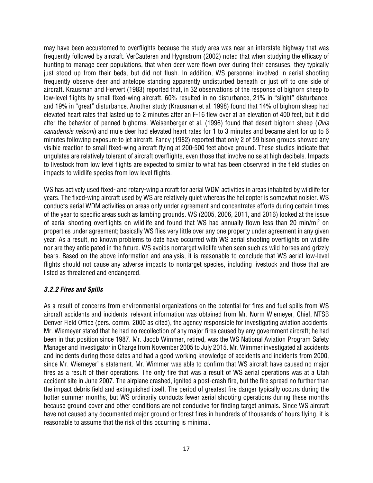may have been accustomed to overflights because the study area was near an interstate highway that was frequently followed by aircraft. VerCauteren and Hygnstrom (2002) noted that when studying the efficacy of hunting to manage deer populations, that when deer were flown over during their censuses, they typically just stood up from their beds, but did not flush. In addition, WS personnel involved in aerial shooting frequently observe deer and antelope standing apparently undisturbed beneath or just off to one side of aircraft. Krausman and Hervert (1983) reported that, in 32 observations of the response of bighorn sheep to low-level flights by small fixed-wing aircraft, 60% resulted in no disturbance, 21% in "slight" disturbance, and 19% in "great" disturbance. Another study (Krausman et al. 1998) found that 14% of bighorn sheep had elevated heart rates that lasted up to 2 minutes after an F-16 flew over at an elevation of 400 feet, but it did alter the behavior of penned bighorns. Weisenberger et al. (1996) found that desert bighorn sheep (*Ovis canadensis nelsoni*) and mule deer had elevated heart rates for 1 to 3 minutes and became alert for up to 6 minutes following exposure to jet aircraft. Fancy (1982) reported that only 2 of 59 bison groups showed any visible reaction to small fixed-wing aircraft flying at 200-500 feet above ground. These studies indicate that ungulates are relatively tolerant of aircraft overflights, even those that involve noise at high decibels. Impacts to livestock from low level flights are expected to similar to what has been observred in the field studies on impacts to wildlife species from low level flights.

WS has actively used fixed- and rotary-wing aircraft for aerial WDM activities in areas inhabited by wildlife for years. The fixed-wing aircraft used by WS are relatively quiet whereas the helicopter is somewhat noisier. WS conducts aerial WDM activities on areas only under agreement and concentrates efforts during certain times of the year to specific areas such as lambing grounds. WS (2005, 2006, 2011, and 2016) looked at the issue of aerial shooting overflights on wildlife and found that WS had annually flown less than 20 min/mi2 on properties under agreement; basically WS flies very little over any one property under agreement in any given year. As a result, no known problems to date have occurred with WS aerial shooting overflights on wildlife nor are they anticipated in the future. WS avoids nontarget wildlife when seen such as wild horses and grizzly bears. Based on the above information and analysis, it is reasonable to conclude that WS aerial low-level flights should not cause any adverse impacts to nontarget species, including livestock and those that are listed as threatened and endangered.

# *3.2.2 Fires and Spills*

As a result of concerns from environmental organizations on the potential for fires and fuel spills from WS aircraft accidents and incidents, relevant information was obtained from Mr. Norm Wiemeyer, Chief, NTSB Denver Field Office (pers. comm. 2000 as cited), the agency responsible for investigating aviation accidents. Mr. Wiemeyer stated that he had no recollection of any major fires caused by any government aircraft; he had been in that position since 1987. Mr. Jacob Wimmer, retired, was the WS National Aviation Program Safety Manager and Investigator in Charge from November 2005 to July 2015. Mr. Wimmer investigated all accidents and incidents during those dates and had a good working knowledge of accidents and incidents from 2000, since Mr. Wiemeyer' s statement. Mr. Wimmer was able to confirm that WS aircraft have caused no major fires as a result of their operations. The only fire that was a result of WS aerial operations was at a Utah accident site in June 2007. The airplane crashed, ignited a post-crash fire, but the fire spread no further than the impact debris field and extinguished itself. The period of greatest fire danger typically occurs during the hotter summer months, but WS ordinarily conducts fewer aerial shooting operations during these months because ground cover and other conditions are not conducive for finding target animals. Since WS aircraft have not caused any documented major ground or forest fires in hundreds of thousands of hours flying, it is reasonable to assume that the risk of this occurring is minimal.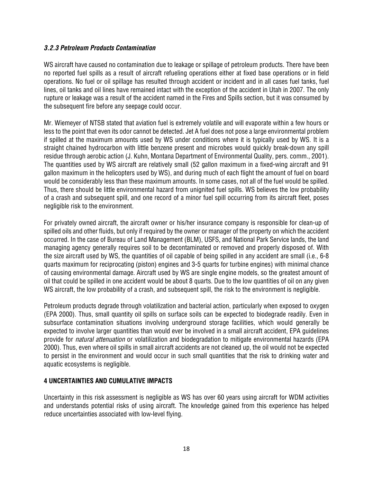# *3.2.3 Petroleum Products Contamination*

WS aircraft have caused no contamination due to leakage or spillage of petroleum products. There have been no reported fuel spills as a result of aircraft refueling operations either at fixed base operations or in field operations. No fuel or oil spillage has resulted through accident or incident and in all cases fuel tanks, fuel lines, oil tanks and oil lines have remained intact with the exception of the accident in Utah in 2007. The only rupture or leakage was a result of the accident named in the Fires and Spills section, but it was consumed by the subsequent fire before any seepage could occur.

Mr. Wiemeyer of NTSB stated that aviation fuel is extremely volatile and will evaporate within a few hours or less to the point that even its odor cannot be detected. Jet A fuel does not pose a large environmental problem if spilled at the maximum amounts used by WS under conditions where it is typically used by WS. It is a straight chained hydrocarbon with little benzene present and microbes would quickly break-down any spill residue through aerobic action (J. Kuhn, Montana Department of Environmental Quality, pers. comm., 2001). The quantities used by WS aircraft are relatively small (52 gallon maximum in a fixed-wing aircraft and 91 gallon maximum in the helicopters used by WS), and during much of each flight the amount of fuel on board would be considerably less than these maximum amounts. In some cases, not all of the fuel would be spilled. Thus, there should be little environmental hazard from unignited fuel spills. WS believes the low probability of a crash and subsequent spill, and one record of a minor fuel spill occurring from its aircraft fleet, poses negligible risk to the environment.

For privately owned aircraft, the aircraft owner or his/her insurance company is responsible for clean-up of spilled oils and other fluids, but only if required by the owner or manager of the property on which the accident occurred. In the case of Bureau of Land Management (BLM), USFS, and National Park Service lands, the land managing agency generally requires soil to be decontaminated or removed and properly disposed of. With the size aircraft used by WS, the quantities of oil capable of being spilled in any accident are small (i.e., 6-8 quarts maximum for reciprocating (piston) engines and 3-5 quarts for turbine engines) with minimal chance of causing environmental damage. Aircraft used by WS are single engine models, so the greatest amount of oil that could be spilled in one accident would be about 8 quarts. Due to the low quantities of oil on any given WS aircraft, the low probability of a crash, and subsequent spill, the risk to the environment is negligible.

Petroleum products degrade through volatilization and bacterial action, particularly when exposed to oxygen (EPA 2000). Thus, small quantity oil spills on surface soils can be expected to biodegrade readily. Even in subsurface contamination situations involving underground storage facilities, which would generally be expected to involve larger quantities than would ever be involved in a small aircraft accident, EPA guidelines provide for *natural attenuation* or volatilization and biodegradation to mitigate environmental hazards (EPA 2000). Thus, even where oil spills in small aircraft accidents are not cleaned up, the oil would not be expected to persist in the environment and would occur in such small quantities that the risk to drinking water and aquatic ecosystems is negligible.

# **4 UNCERTAINTIES AND CUMULATIVE IMPACTS**

Uncertainty in this risk assessment is negligible as WS has over 60 years using aircraft for WDM activities and understands potential risks of using aircraft. The knowledge gained from this experience has helped reduce uncertainties associated with low-level flying.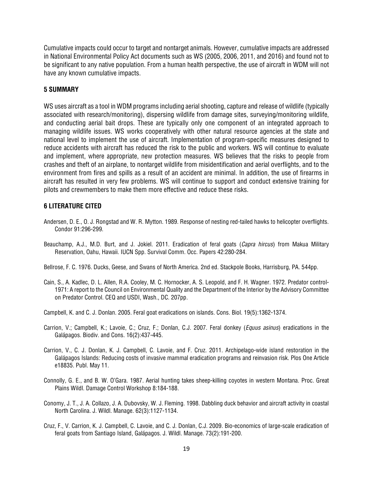Cumulative impacts could occur to target and nontarget animals. However, cumulative impacts are addressed in National Environmental Policy Act documents such as WS (2005, 2006, 2011, and 2016) and found not to be significant to any native population. From a human health perspective, the use of aircraft in WDM will not have any known cumulative impacts.

# **5 SUMMARY**

WS uses aircraft as a tool in WDM programs including aerial shooting, capture and release of wildlife (typically associated with research/monitoring), dispersing wildlife from damage sites, surveying/monitoring wildlife, and conducting aerial bait drops. These are typically only one component of an integrated approach to managing wildlife issues. WS works cooperatively with other natural resource agencies at the state and national level to implement the use of aircraft. Implementation of program-specific measures designed to reduce accidents with aircraft has reduced the risk to the public and workers. WS will continue to evaluate and implement, where appropriate, new protection measures. WS believes that the risks to people from crashes and theft of an airplane, to nontarget wildlife from misidentification and aerial overflights, and to the environment from fires and spills as a result of an accident are minimal. In addition, the use of firearms in aircraft has resulted in very few problems. WS will continue to support and conduct extensive training for pilots and crewmembers to make them more effective and reduce these risks.

# **6 LITERATURE CITED**

- Andersen, D. E., O. J. Rongstad and W. R. Mytton. 1989. Response of nesting red-tailed hawks to helicopter overflights. Condor 91:296-299.
- Beauchamp, A.J., M.D. Burt, and J. Jokiel. 2011. Eradication of feral goats (*Capra hircus*) from Makua Military Reservation, Oahu, Hawaii. IUCN Spp. Survival Comm. Occ. Papers 42:280-284.
- Bellrose, F. C. 1976. Ducks, Geese, and Swans of North America. 2nd ed. Stackpole Books, Harrisburg, PA. 544pp.
- Cain, S., A. Kadlec, D. L. Allen, R.A. Cooley, M. C. Hornocker, A. S. Leopold, and F. H. Wagner. 1972. Predator control-1971: A report to the Council on Environmental Quality and the Department of the Interior by the Advisory Committee on Predator Control. CEQ and USDI, Wash., DC. 207pp.
- Campbell, K. and C. J. Donlan. 2005. Feral goat eradications on islands. Cons. Biol. 19(5):1362-1374.
- Carrion, V.; Campbell, K.; Lavoie, C.; Cruz, F.; Donlan, C.J. 2007. Feral donkey (*Equus asinus*) eradications in the Galápagos. Biodiv. and Cons. 16(2):437-445.
- Carrion, V., C. J. Donlan, K. J. Campbell, C. Lavoie, and F. Cruz. 2011. Archipelago-wide island restoration in the Galápagos Islands: Reducing costs of invasive mammal eradication programs and reinvasion risk. Plos One Article e18835. Publ. May 11.
- Connolly, G. E., and B. W. O'Gara. 1987. Aerial hunting takes sheep-killing coyotes in western Montana. Proc. Great Plains Wildl. Damage Control Workshop 8:184-188.
- Conomy, J. T., J. A. Collazo, J. A. Dubovsky, W. J. Fleming. 1998. Dabbling duck behavior and aircraft activity in coastal North Carolina. J. Wildl. Manage. 62(3):1127-1134.
- Cruz, F., V. Carrion, K. J. Campbell, C. Lavoie, and C. J. Donlan, C.J. 2009. Bio-economics of large-scale eradication of feral goats from Santiago Island, Galápagos. J. Wildl. Manage. 73(2):191-200.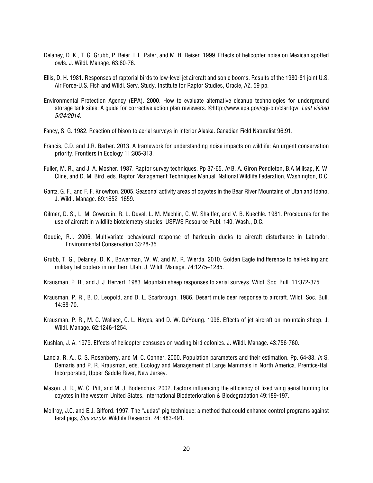- Delaney, D. K., T. G. Grubb, P. Beier, l. L. Pater, and M. H. Reiser. 1999. Effects of helicopter noise on Mexican spotted owls. J. Wildl. Manage. 63:60-76.
- Ellis, D. H. 1981. Responses of raptorial birds to low-level jet aircraft and sonic booms. Results of the 1980-81 joint U.S. Air Force-U.S. Fish and Wildl. Serv. Study. Institute for Raptor Studies, Oracle, AZ. 59 pp.
- Environmental Protection Agency (EPA). 2000. How to evaluate alternative cleanup technologies for underground storage tank sites: A guide for corrective action plan reviewers. @http://www.epa.gov/cgi-bin/claritgw. *Last visited 5/24/2014.*
- Fancy, S. G. 1982. Reaction of bison to aerial surveys in interior Alaska. Canadian Field Naturalist 96:91.
- Francis, C.D. and J.R. Barber. 2013. A framework for understanding noise impacts on wildlife: An urgent conservation priority. Frontiers in Ecology 11:305-313.
- Fuller, M. R., and J. A. Mosher. 1987. Raptor survey techniques. Pp 37-65. *In* B. A. Giron Pendleton, B.A Millsap, K. W. Cline, and D. M. Bird, eds. Raptor Management Techniques Manual. National Wildlife Federation, Washington, D.C.
- Gantz, G. F., and F. F. Knowlton. 2005. Seasonal activity areas of coyotes in the Bear River Mountains of Utah and Idaho. J. Wildl. Manage. 69:1652–1659.
- Gilmer, D. S., L. M. Cowardin, R. L. Duval, L. M. Mechlin, C. W. Shaiffer, and V. B. Kuechle. 1981. Procedures for the use of aircraft in wildlife biotelemetry studies. USFWS Resource Publ. 140, Wash., D.C.
- Goudie, R.I. 2006. Multivariate behavioural response of harlequin ducks to aircraft disturbance in Labrador. Environmental Conservation 33:28-35.
- Grubb, T. G., Delaney, D. K., Bowerman, W. W. and M. R. Wierda. 2010. Golden Eagle indifference to heli-skiing and military helicopters in northern Utah. J. Wildl. Manage. 74:1275–1285.
- Krausman, P. R., and J. J. Hervert. 1983. Mountain sheep responses to aerial surveys. Wildl. Soc. Bull. 11:372-375.
- Krausman, P. R., B. D. Leopold, and D. L. Scarbrough. 1986. Desert mule deer response to aircraft. Wildl. Soc. Bull. 14:68-70.
- Krausman, P. R., M. C. Wallace, C. L. Hayes, and D. W. DeYoung. 1998. Effects of jet aircraft on mountain sheep. J. Wildl. Manage. 62:1246-1254.
- Kushlan, J. A. 1979. Effects of helicopter censuses on wading bird colonies. J. Wildl. Manage. 43:756-760.
- Lancia, R. A., C. S. Rosenberry, and M. C. Conner. 2000. Population parameters and their estimation. Pp. 64-83. *In* S. Demaris and P. R. Krausman, eds. Ecology and Management of Large Mammals in North America. Prentice-Hall Incorporated, Upper Saddle River, New Jersey.
- Mason, J. R., W. C. Pitt, and M. J. Bodenchuk. 2002. Factors influencing the efficiency of fixed wing aerial hunting for coyotes in the western United States. International Biodeterioration & Biodegradation 49:189-197.
- McIlroy, J.C. and E.J. Gifford. 1997. The "Judas" pig technique: a method that could enhance control programs against feral pigs, *Sus scrofa*. Wildlife Research. 24: 483-491.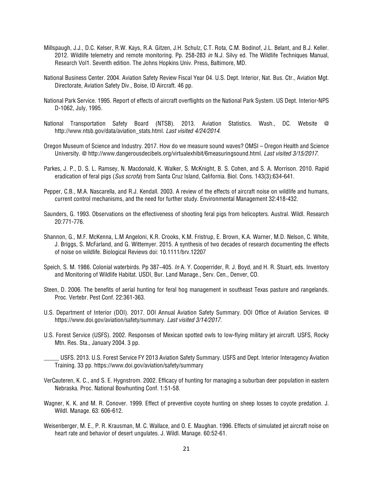- Millspaugh, J.J., D.C. Kelser, R.W. Kays, R.A. Gitzen, J.H. Schulz, C.T. Rota, C.M. Bodinof, J.L. Belant, and B.J. Keller. 2012. Wildlife telemetry and remote monitoring. Pp. 258-283 *in* N.J. Silvy ed. The Wildlife Techniques Manual, Research Vol1. Seventh edition. The Johns Hopkins Univ. Press, Baltimore, MD.
- National Business Center. 2004. Aviation Safety Review Fiscal Year 04. U.S. Dept. Interior, Nat. Bus. Ctr., Aviation Mgt. Directorate, Aviation Safety Div., Boise, ID Aircraft. 46 pp.
- National Park Service. 1995. Report of effects of aircraft overflights on the National Park System. US Dept. Interior-NPS D-1062, July, 1995.
- National Transportation Safety Board (NTSB). 2013. Aviation Statistics. Wash., DC. Website @ [http://www.ntsb.gov/data/aviation\\_stats.html.](http://www.ntsb.gov/data/aviation_stats.html) *Last visited 4/24/2014*.
- Oregon Museum of Science and Industry. 2017. How do we measure sound waves? OMSI Oregon Health and Science University. @ http://www.dangerousdecibels.org/virtualexhibit/6measuringsound.html. *Last visited 3/15/2017.*
- Parkes, J. P., D. S. L. Ramsey, N. Macdonald, K. Walker, S. McKnight, B. S. Cohen, and S. A. Morrison. 2010. Rapid eradication of feral pigs (*Sus scrofa*) from Santa Cruz Island, California. Biol. Cons. 143(3):634-641.
- Pepper, C.B., M.A. Nascarella, and R.J. Kendall. 2003. A review of the effects of aircraft noise on wildlife and humans, current control mechanisms, and the need for further study. Environmental Management 32:418-432.
- Saunders, G. 1993. Observations on the effectiveness of shooting feral pigs from helicopters. Austral. Wildl. Research 20:771-776.
- Shannon, G., M.F. McKenna, L.M Angeloni, K.R. Crooks, K.M. Fristrup, E. Brown, K.A. Warner, M.D. Nelson, C. White, J. Briggs, S. McFarland, and G. Wittemyer. 2015. A synthesis of two decades of research documenting the effects of noise on wildlife. Biological Reviews doi: 10.1111/brv.12207
- Speich, S. M. 1986. Colonial waterbirds. Pp 387−405. *In* A. Y. Cooperrider, R. J. Boyd, and H. R. Stuart, eds. Inventory and Monitoring of Wildlife Habitat. USDI, Bur. Land Manage., Serv. Cen., Denver, CO.
- Steen, D. 2006. The benefits of aerial hunting for feral hog management in southeast Texas pasture and rangelands. Proc. Vertebr. Pest Conf. 22:361-363.
- U.S. Department of Interior (DOI). 2017. DOI Annual Aviation Safety Summary. DOI Office of Aviation Services. @ https://www.doi.gov/aviation/safety/summary*. Last visited 3/14/2017*.
- U.S. Forest Service (USFS). 2002. Responses of Mexican spotted owls to low-flying military jet aircraft. USFS, Rocky Mtn. Res. Sta., January 2004. 3 pp.
- \_\_\_\_\_ USFS. 2013. U.S. Forest Service FY 2013 Aviation Safety Summary. USFS and Dept. Interior Interagency Aviation Training. 33 pp. https://www.doi.gov/aviation/safety/summary
- VerCauteren, K. C., and S. E. Hygnstrom. 2002. Efficacy of hunting for managing a suburban deer population in eastern Nebraska. Proc. National Bowhunting Conf. 1:51-58.
- Wagner, K. K. and M. R. Conover. 1999. Effect of preventive coyote hunting on sheep losses to coyote predation. J. Wildl. Manage. 63: 606-612.
- Weisenberger, M. E., P. R. Krausman, M. C. Wallace, and O. E. Maughan. 1996. Effects of simulated jet aircraft noise on heart rate and behavior of desert ungulates. J. Wildl. Manage. 60:52-61.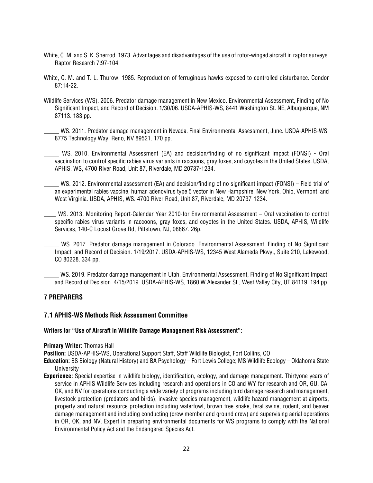- White, C. M. and S. K. Sherrod. 1973. Advantages and disadvantages of the use of rotor-winged aircraft in raptor surveys. Raptor Research 7:97-104.
- White, C. M. and T. L. Thurow. 1985. Reproduction of ferruginous hawks exposed to controlled disturbance. Condor 87:14-22.
- Wildlife Services (WS). 2006. Predator damage management in New Mexico. Environmental Assessment, Finding of No Significant Impact, and Record of Decision. 1/30/06. USDA-APHIS-WS, 8441 Washington St. NE, Albuquerque, NM 87113. 183 pp.

WS. 2011. Predator damage management in Nevada. Final Environmental Assessment, June. USDA-APHIS-WS, 8775 Technology Way, Reno, NV 89521. 170 pp.

WS. 2010. Environmental Assessment (EA) and decision/finding of no significant impact (FONSI) - Oral vaccination to control specific rabies virus variants in raccoons, gray foxes, and coyotes in the United States. USDA, APHIS, WS, 4700 River Road, Unit 87, Riverdale, MD 20737-1234.

WS. 2012. Environmental assessment (EA) and decision/finding of no significant impact (FONSI) – Field trial of an experimental rabies vaccine, human adenovirus type 5 vector in New Hampshire, New York, Ohio, Vermont, and West Virginia. USDA, APHIS, WS. 4700 River Road, Unit 87, Riverdale, MD 20737-1234.

\_\_\_\_ WS. 2013. Monitoring Report-Calendar Year 2010-for Environmental Assessment – Oral vaccination to control specific rabies virus variants in raccoons, gray foxes, and coyotes in the United States. USDA, APHIS, Wildlife Services, 140-C Locust Grove Rd, Pittstown, NJ, 08867. 26p.

WS. 2017. Predator damage management in Colorado. Environmental Assessment, Finding of No Significant Impact, and Record of Decision. 1/19/2017. USDA-APHIS-WS, 12345 West Alameda Pkwy., Suite 210, Lakewood, CO 80228. 334 pp.

\_\_\_\_\_ WS. 2019. Predator damage management in Utah. Environmental Assessment, Finding of No Significant Impact, and Record of Decision. 4/15/2019. USDA-APHIS-WS, 1860 W Alexander St., West Valley City, UT 84119. 194 pp.

### **7 PREPARERS**

### **7.1 APHIS-WS Methods Risk Assessment Committee**

#### **Writers for "Use of Aircraft in Wildlife Damage Management Risk Assessment":**

#### **Primary Writer:** Thomas Hall

**Position:** USDA-APHIS-WS, Operational Support Staff, Staff Wildlife Biologist, Fort Collins, CO

**Education:** BS Biology (Natural History) and BA Psychology – Fort Lewis College; MS Wildlife Ecology – Oklahoma State University

**Experience:** Special expertise in wildlife biology, identification, ecology, and damage management. Thirtyone years of service in APHIS Wildlife Services including research and operations in CO and WY for research and OR, GU, CA, OK, and NV for operations conducting a wide variety of programs including bird damage research and management, livestock protection (predators and birds), invasive species management, wildlife hazard management at airports, property and natural resource protection including waterfowl, brown tree snake, feral swine, rodent, and beaver damage management and including conducting (crew member and ground crew) and supervising aerial operations in OR, OK, and NV. Expert in preparing environmental documents for WS programs to comply with the National Environmental Policy Act and the Endangered Species Act.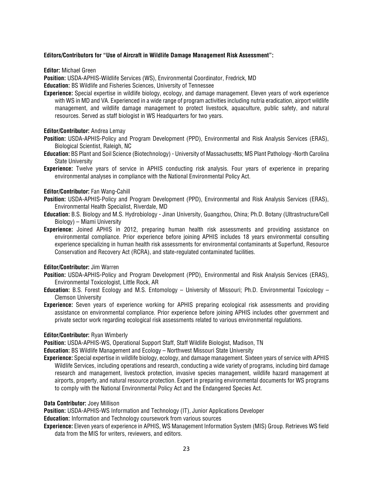#### **Editors/Contributors for "Use of Aircraft in Wildlife Damage Management Risk Assessment":**

**Editor:** Michael Green

**Position:** USDA-APHIS-Wildlife Services (WS), Environmental Coordinator, Fredrick, MD

**Education:** BS Wildlife and Fisheries Sciences, University of Tennessee

**Experience:** Special expertise in wildlife biology, ecology, and damage management. Eleven years of work experience with WS in MD and VA. Experienced in a wide range of program activities including nutria eradication, airport wildlife management, and wildlife damage management to protect livestock, aquaculture, public safety, and natural resources. Served as staff biologist in WS Headquarters for two years.

#### **Editor/Contributor:** Andrea Lemay

- **Position:** USDA-APHIS-Policy and Program Development (PPD), Environmental and Risk Analysis Services (ERAS), Biological Scientist, Raleigh, NC
- **Education:** BS Plant and Soil Science (Biotechnology) University of Massachusetts; MS Plant Pathology -North Carolina State University
- **Experience:** Twelve years of service in APHIS conducting risk analysis. Four years of experience in preparing environmental analyses in compliance with the National Environmental Policy Act.

#### **Editor/Contributor:** Fan Wang-Cahill

- **Position:** USDA-APHIS-Policy and Program Development (PPD), Environmental and Risk Analysis Services (ERAS), Environmental Health Specialist, Riverdale, MD
- **Education:** B.S. Biology and M.S. Hydrobiology Jinan University, Guangzhou, China; Ph.D. Botany (Ultrastructure/Cell Biology) – Miami University
- **Experience:** Joined APHIS in 2012, preparing human health risk assessments and providing assistance on environmental compliance. Prior experience before joining APHIS includes 18 years environmental consulting experience specializing in human health risk assessments for environmental contaminants at Superfund, Resource Conservation and Recovery Act (RCRA), and state-regulated contaminated facilities.

#### **Editor/Contributor:** Jim Warren

- **Position:** USDA-APHIS-Policy and Program Development (PPD), Environmental and Risk Analysis Services (ERAS), Environmental Toxicologist, Little Rock, AR
- **Education:** B.S. Forest Ecology and M.S. Entomology University of Missouri; Ph.D. Environmental Toxicology Clemson University
- **Experience:** Seven years of experience working for APHIS preparing ecological risk assessments and providing assistance on environmental compliance. Prior experience before joining APHIS includes other government and private sector work regarding ecological risk assessments related to various environmental regulations.

#### **Editor/Contributor:** Ryan Wimberly

**Position:** USDA-APHIS-WS, Operational Support Staff, Staff Wildlife Biologist, Madison, TN

**Education:** BS Wildlife Management and Ecology – Northwest Missouri State University

- **Experience:** Special expertise in wildlife biology, ecology, and damage management. Sixteen years of service with APHIS Wildlife Services, including operations and research, conducting a wide variety of programs, including bird damage research and management, livestock protection, invasive species management, wildlife hazard management at airports, property, and natural resource protection. Expert in preparing environmental documents for WS programs to comply with the National Environmental Policy Act and the Endangered Species Act.
- **Data Contributor:** Joey Millison

**Position:** USDA-APHIS-WS Information and Technology (IT), Junior Applications Developer

**Education:** Information and Technology coursework from various sources

**Experience:** Eleven years of experience in APHIS, WS Management Information System (MIS) Group. Retrieves WS field data from the MIS for writers, reviewers, and editors.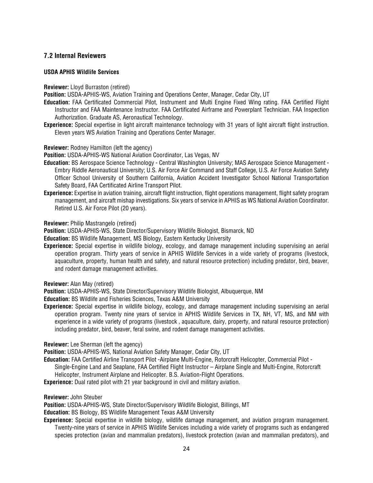# **7.2 Internal Reviewers**

#### **USDA APHIS Wildlife Services**

#### **Reviewer:** Lloyd Burraston (retired)

**Position:** USDA-APHIS-WS, Aviation Training and Operations Center, Manager, Cedar City, UT

- **Education:** FAA Certificated Commercial Pilot, Instrument and Multi Engine Fixed Wing rating. FAA Certified Flight Instructor and FAA Maintenance Instructor. FAA Certificated Airframe and Powerplant Technician. FAA Inspection Authorization. Graduate AS, Aeronautical Technology.
- **Experience:** Special expertise in light aircraft maintenance technology with 31 years of light aircraft flight instruction. Eleven years WS Aviation Training and Operations Center Manager.

#### **Reviewer:** Rodney Hamilton (left the agency)

**Position:** USDA-APHIS-WS National Aviation Coordinator, Las Vegas, NV

- **Education:** BS Aerospace Science Technology Central Washington University; MAS Aerospace Science Management Embry Riddle Aeronautical University; U.S. Air Force Air Command and Staff College, U.S. Air Force Aviation Safety Officer School University of Southern California, Aviation Accident Investigator School National Transportation Safety Board, FAA Certificated Airline Transport Pilot.
- **Experience:** Expertise in aviation training, aircraft flight instruction, flight operations management, flight safety program management, and aircraft mishap investigations. Six years of service in APHIS as WS National Aviation Coordinator. Retired U.S. Air Force Pilot (20 years).

**Reviewer:** Philip Mastrangelo (retired)

**Position:** USDA-APHIS-WS, State Director/Supervisory Wildlife Biologist, Bismarck, ND

- **Education:** BS Wildlife Management, MS Biology, Eastern Kentucky University
- **Experience:** Special expertise in wildlife biology, ecology, and damage management including supervising an aerial operation program. Thirty years of service in APHIS Wildlife Services in a wide variety of programs (livestock, aquaculture, property, human health and safety, and natural resource protection) including predator, bird, beaver, and rodent damage management activities.

**Reviewer:** Alan May (retired)

**Position:** USDA-APHIS-WS, State Director/Supervisory Wildlife Biologist, Albuquerque, NM

**Education:** BS Wildlife and Fisheries Sciences, Texas A&M University

**Experience:** Special expertise in wildlife biology, ecology, and damage management including supervising an aerial operation program. Twenty nine years of service in APHIS Wildlife Services in TX, NH, VT, MS, and NM with experience in a wide variety of programs (livestock , aquaculture, dairy, property, and natural resource protection) including predator, bird, beaver, feral swine, and rodent damage management activities.

**Reviewer:** Lee Sherman (left the agency)

**Position:** USDA-APHIS-WS, National Aviation Safety Manager, Cedar City, UT

- **Education:** FAA Certified Airline Transport Pilot -Airplane Multi-Engine, Rotorcraft Helicopter, Commercial Pilot Single-Engine Land and Seaplane, FAA Certified Flight Instructor – Airplane Single and Multi-Engine, Rotorcraft Helicopter, Instrument Airplane and Helicopter. B.S. Aviation-Flight Operations.
- **Experience:** Dual rated pilot with 21 year background in civil and military aviation.

#### **Reviewer:** John Steuber

**Position:** USDA-APHIS-WS, State Director/Supervisory Wildlife Biologist, Billings, MT

**Education:** BS Biology, BS Wildlife Management Texas A&M University

**Experience:** Special expertise in wildlife biology, wildlife damage management, and aviation program management. Twenty-nine years of service in APHIS Wildlife Services including a wide variety of programs such as endangered species protection (avian and mammalian predators), livestock protection (avian and mammalian predators), and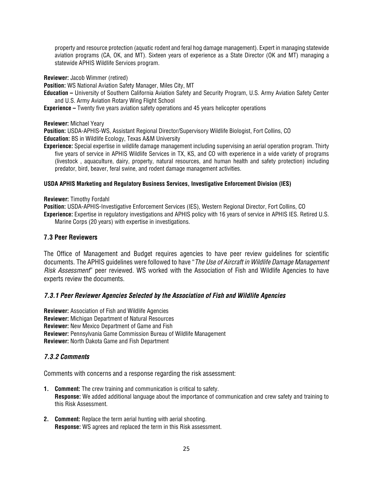property and resource protection (aquatic rodent and feral hog damage management). Expert in managing statewide aviation programs (CA, OK, and MT). Sixteen years of experience as a State Director (OK and MT) managing a statewide APHIS Wildlife Services program.

**Reviewer:** Jacob Wimmer (retired)

**Position:** WS National Aviation Safety Manager, Miles City, MT

- **Education –** University of Southern California Aviation Safety and Security Program, U.S. Army Aviation Safety Center and U.S. Army Aviation Rotary Wing Flight School
- **Experience –** Twenty five years aviation safety operations and 45 years helicopter operations

**Reviewer:** Michael Yeary

**Position:** USDA-APHIS-WS, Assistant Regional Director/Supervisory Wildlife Biologist, Fort Collins, CO **Education:** BS in Wildlife Ecology, Texas A&M University

**Experience:** Special expertise in wildlife damage management including supervising an aerial operation program. Thirty five years of service in APHIS Wildlife Services in TX, KS, and CO with experience in a wide variety of programs (livestock , aquaculture, dairy, property, natural resources, and human health and safety protection) including predator, bird, beaver, feral swine, and rodent damage management activities.

#### **USDA APHIS Marketing and Regulatory Business Services, Investigative Enforcement Division (IES)**

**Reviewer:** Timothy Fordahl

**Position:** USDA-APHIS-Investigative Enforcement Services (IES), Western Regional Director, Fort Collins, CO **Experience:** Expertise in regulatory investigations and APHIS policy with 16 years of service in APHIS IES. Retired U.S. Marine Corps (20 years) with expertise in investigations.

### **7.3 Peer Reviewers**

The Office of Management and Budget requires agencies to have peer review guidelines for scientific documents. The APHIS guidelines were followed to have "*The Use of Aircraft in Wildlife Damage Management Risk Assessment*" peer reviewed. WS worked with the Association of Fish and Wildlife Agencies to have experts review the documents.

### *7.3.1 Peer Reviewer Agencies Selected by the Association of Fish and Wildlife Agencies*

**Reviewer:** Association of Fish and Wildlife Agencies **Reviewer:** Michigan Department of Natural Resources **Reviewer:** New Mexico Department of Game and Fish **Reviewer:** Pennsylvania Game Commission Bureau of Wildlife Management **Reviewer:** North Dakota Game and Fish Department

### *7.3.2 Comments*

Comments with concerns and a response regarding the risk assessment:

- **1. Comment:** The crew training and communication is critical to safety. **Response:** We added additional language about the importance of communication and crew safety and training to this Risk Assessment.
- **2. Comment:** Replace the term aerial hunting with aerial shooting. **Response:** WS agrees and replaced the term in this Risk assessment.